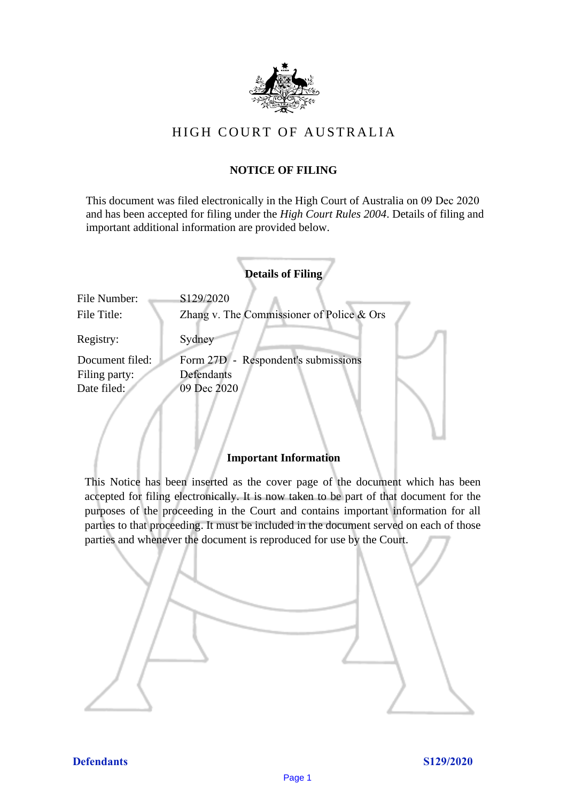

# HIGH COURT OF AU STRALIA HIGH COURT OF AUSTRALIA

# **NOTICE OF FILING** NOTICE OF FILING

This document was filed electronically in the High Court of Australia on 09 Dec 2020 This document was filed electronically in the High Court of Australia <sup>20</sup> and has been accepted for filing under the *High Court Rules 2004*. Details of filing and important additional information are provided below. important additional information are provided below.

|                             | <b>Details of Filing</b>                                 |
|-----------------------------|----------------------------------------------------------|
| File Number:<br>File Title: | S129/2020<br>Zhang v. The Commissioner of Police $&$ Ors |
| Registry:                   | Sydney                                                   |
| Document filed:             | Form 27D - Respondent's submissions                      |
| Filing party:               | Defendants                                               |
| Date filed:                 | 09 Dec 2020                                              |
|                             |                                                          |

# **Important Information** Important Information

This Notice has been inserted as the cover page of the document which has been accepted for filing electronically. It is now taken to be part of that document for the purposes of the proceeding in the Court and contains important information for all parties to that proceeding. It must be included in the document served on each of those parties and whenever the document is reproduced for use by the Court. parties and whenever the document is reproduced for use by the Court

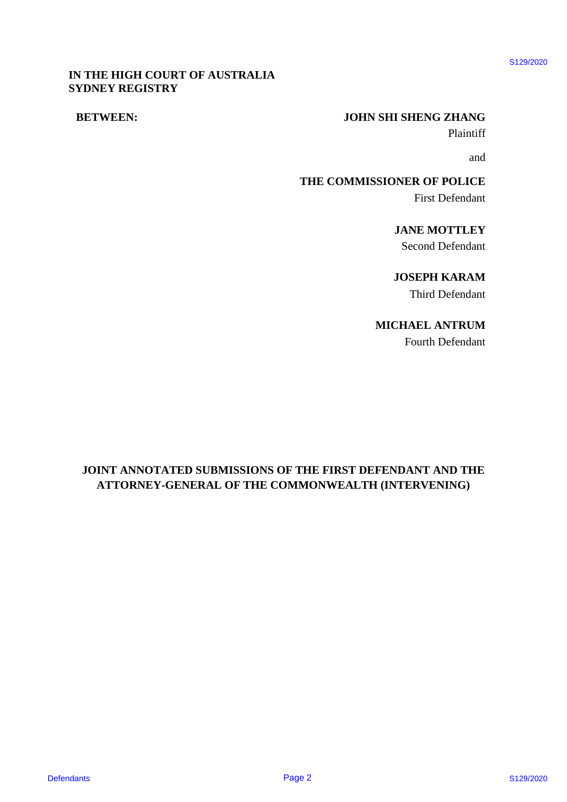# \$129/2020

# **IN THE HIGH COURT OF AUSTRALIA** IN THE HIGH COURT OF AUSTRALIA **SYDNEY REGISTRY** SYDNEY REGISTRY

# **BETWEEN: JOHN SHI SHENG ZHANG** BETWEEN: JOHN SHI SHENG ZHANG

Plaintiff Plaintiff

and and

**THE COMMISSIONER OF POLICE** THE COMMISSIONER OF POLICE First Defendant First Defendant

> **JANE MOTTLEY** JANE MOTTLEY Second Defendant Second Defendant

> **JOSEPH KARAM** JOSEPH KARAM

Third Defendant Third Defendant

**MICHAEL ANTRUM** MICHAEL ANTRUM

Fourth Defendant Fourth Defendant

# **JOINT ANNOTATED SUBMISSIONS OF THE FIRST DEFENDANT AND THE**  JOINT ANNOTATED SUBMISSIONS OF THE FIRST DEFENDANT AND THE **ATTORNEY-GENERAL OF THE COMMONWEALTH (INTERVENING)** ATTORNEY-GENERAL OF THE COMMONWEALTH (INTERVENING) DET THE IREN CONTRACT AND SUBJECTIVE CONDUCTS OF SUBJECTIVE CONDUCTS OF POLICY PAGE 2020<br>
BETWEEN:<br>
THE COMMISSIONER OF POLICY<br>
SNOW INCOLUME<br>
SNOW UNIT ANNOTATED SUBMISSIONS OF THE FIRST DEFENDANT AND THE<br>
ATTORNEY-GENERA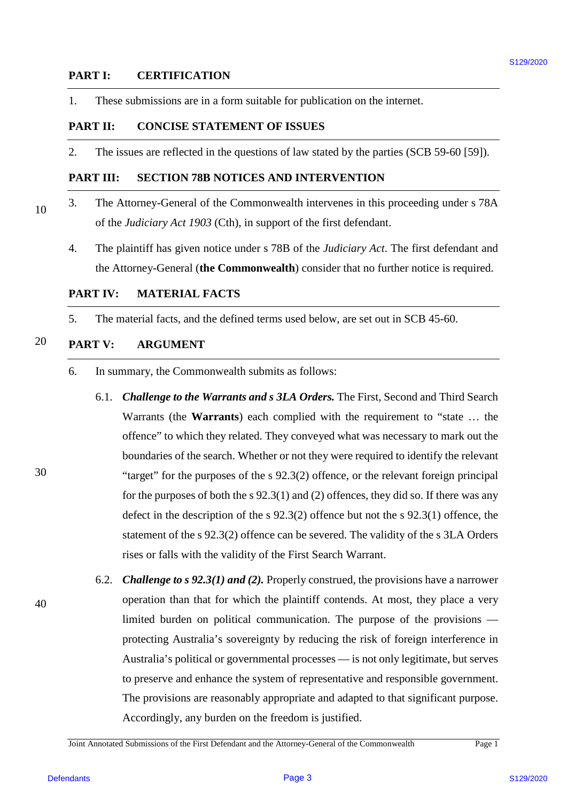# **PART I: CERTIFICATION** PARTI: CERTIFICATION

1. These submissions are in a form suitable for publication on the internet.

# **PART II: CONCISE STATEMENT OF ISSUES** PART I: CONCISE STATEMENT OF ISSUES

2. The issues are reflected in the questions of law stated by the parties (SCB 59-60 [59]). 2. The issues are reflected in the questions of law stated by the parties (SCB 59-60 [59]).

# **PART III: SECTION 78B NOTICES AND INTERVENTION** PART UI: SECTION 78B NOTICES AND INTERVENTION

- 3. The Attorney-General of the Commonwealth intervenes in this proceeding under s 78A 3. The Attorney-General of the Commonwealth intervenes in this proceeding under <sup>s</sup> 78A of the *Judiciary Act 1903* (Cth), in support of the first defendant. of the Judiciary Act 1903 (Cth), in support of the first defendant.
	- 4. The plaintiff has given notice under s 78B of the *Judiciary Act*. The first defendant and 4. The plaintiff has given notice under <sup>s</sup> 78B of the Judiciary Act. The first defendant and the Attorney-General (**the Commonwealth**) consider that no further notice is required. the Attorney-General (the Commonwealth) consider that no further notice is required.

# **PART IV: MATERIAL FACTS** PARTIV: MATERIAL FACTS

5. The material facts, and the defined terms used below, are set out in SCB 45-60.

## 20 **PART V: ARGUMENT** PART V: ARGUMENT

10

30

40

- 6. In summary, the Commonwealth submits as follows: 6. In summary, the Commonwealth submits as follows:
- 6.1. *Challenge to the Warrants and s 3LA Orders.* The First, Second and Third Search 6.1. Challenge to the Warrants and s 3LA Orders. The First, Second and Third Search Warrants (the **Warrants**) each complied with the requirement to "state … the Warrants (the Warrants) each complied with the requirement to "state ... the offence" to which they related. They conveyed what was necessary to mark out the boundaries of the search. Whether or not they were required to identify the relevant boundaries of the search. Whether or not they were required to identify the relevant "target" for the purposes of the s 92.3(2) offence, or the relevant foreign principal "target" for the purposes of the <sup>s</sup> 92.3(2) offence, or the relevant foreign principal for the purposes of both the s  $92.3(1)$  and (2) offences, they did so. If there was any defect in the description of the s 92.3(2) offence but not the s 92.3(1) offence, the defect in the description of the <sup>s</sup> 92.3(2) offence but not the <sup>s</sup> 92.3(1) offence, the statement of the s 92.3(2) offence can be severed. The validity of the s 3LA Orders statement of the <sup>s</sup> 92.3(2) offence can be severed. The validity of the <sup>s</sup> 3LA Orders rises or falls with the validity of the First Search Warrant. rises or falls with the validity of the First Search Warrant. **PART 1: CENTIFICATION**<br>
1. These submissions are in a form subidie for publication on the internet<br> **PART III CONCESS ATTENTS OF ISSUES**<br> **PART III CONCESS ATTENTS OF ISSUES**<br> **2.** The issues are reliested in the q
- 6.2. *Challenge to s 92.3(1) and (2).* Properly construed, the provisions have a narrower 6.2. Challenge to s 92.3(1) and (2). Properly construed, the provisions have <sup>a</sup> narrower operation than that for which the plaintiff contends. At most, they place a very operation than that for which the plaintiff contends. At most, they place <sup>a</sup> very limited burden on political communication. The purpose of the provisions — limited burden on political communication. The purpose of the provisions protecting Australia's sovereignty by reducing the risk of foreign interference in protecting Australia's sovereignty by reducing the risk of foreign interference in Australia's political or governmental processes — is not only legitimate, but serves Australia's political or governmental processes — is not only legitimate, but serves to preserve and enhance the system of representative and responsible government. to preserve and enhance the system of representative and responsible government. The provisions are reasonably appropriate and adapted to that significant purpose. The provisions are reasonably appropriate and adapted to that significant purpose. Accordingly, any burden on the freedom is justified. Accordingly, any burden on the freedom is justified.

Joint Annotated Submissions of the First Defendant and the Attorney-General of the Commonwealth Page 1 Joint Annotated Submissions of the First Defendant and the Attorney-General ofthe Commonwealth Page 1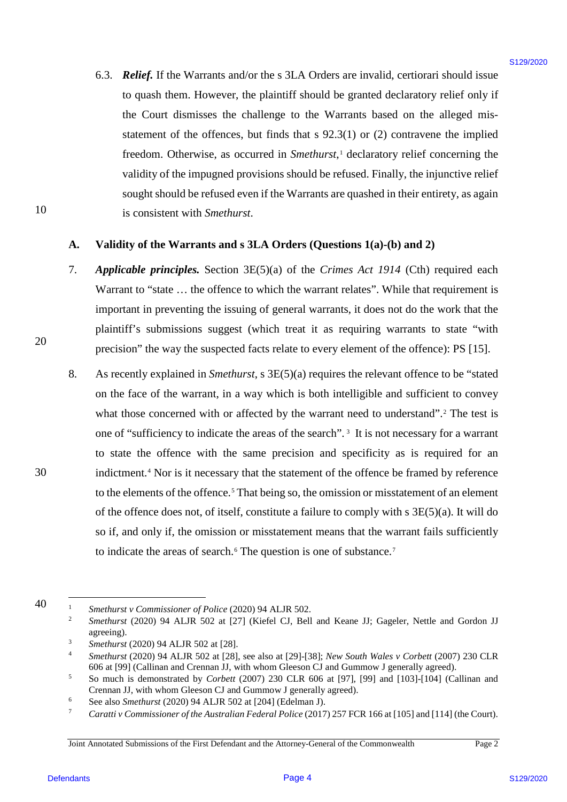6.3. *Relief.* If the Warrants and/or the s 3LA Orders are invalid, certiorari should issue 6.3. Relief. If the Warrants and/or the <sup>s</sup> 3LA Orders are invalid, certiorari should issue to quash them. However, the plaintiff should be granted declaratory relief only if to quash them. However, the plaintiff should be granted declaratory relief only if the Court dismisses the challenge to the Warrants based on the alleged mis-the Court dismisses the challenge to the Warrants based on the alleged misstatement of the offences, but finds that  $s$  92.3(1) or (2) contravene the implied freedom. Otherwise, as occurred in Smethurst,<sup>[1](#page-3-0)</sup> declaratory relief concerning the validity of the impugned provisions should be refused. Finally, the injunctive relief validity of the impugned provisions should be refused. Finally, the injunctive reliefsought should be refused even if the Warrants are quashed in their entirety, as again is consistent with *Smethurst*. is consistent with Smethurst.

# **A. Validity of the Warrants and s 3LA Orders (Questions 1(a)-(b) and 2)** Validity of the Warrants and <sup>s</sup> 3LA Orders (Questions 1(a)-(b) and 2)

- 7. *Applicable principles.* Section 3E(5)(a) of the *Crimes Act 1914* (Cth) required each Applicable principles. Section 3E(5)(a) of the Crimes Act 1914 (Cth) required each Warrant to "state ... the offence to which the warrant relates". While that requirement is important in preventing the issuing of general warrants, it does not do the work that the important in preventing the issuing of general warrants, it does not do the work that the plaintiff's submissions suggest (which treat it as requiring warrants to state "with plaintiff's submissions suggest (which treat it as requiring warrants to state "with precision" the way the suspected facts relate to every element of the offence): PS [15].
- 8. As recently explained in *Smethurst*, s 3E(5)(a) requires the relevant offence to be "stated As recently explained in Smethurst, <sup>s</sup> 3E(5)(a) requires the relevant offence to be "stated on the face of the warrant, in a way which is both intelligible and sufficient to convey what those concerned with or affected by the warrant need to understand".<sup>[2](#page-3-1)</sup> The test is one of "sufficiency to indicate the areas of the search".<sup>[3](#page-3-2)</sup> It is not necessary for a warrant to state the offence with the same precision and specificity as is required for an to state the offence with the same precision and specificity as is required for an indictment.<sup>[4](#page-3-3)</sup> Nor is it necessary that the statement of the offence be framed by reference to the elements of the offence.<sup>[5](#page-3-4)</sup> That being so, the omission or misstatement of an element of the offence does not, of itself, constitute a failure to comply with s 3E(5)(a). It will do so if, and only if, the omission or misstatement means that the warrant fails sufficiently so if, and only if, the omission or misstatement means that the warrant fails sufficiently to indicate the areas of search.<sup>[6](#page-3-5)</sup> The question is one of substance.<sup>[7](#page-3-6)</sup> 6.3. **Relief**. If the Warrants and/or the s 3LA Orders are invisible experimented is the control of the particle of the particle of the strength defendant is particle of the particle of the strength of the strength defend

10 10

20 20

<span id="page-3-3"></span><span id="page-3-2"></span><span id="page-3-1"></span><span id="page-3-0"></span><sup>40</sup> 40

 <sup>1</sup> *Smethurst v Commissioner of Police* (2020) 94 ALJR 502. Smethurst v Commissioner of Police (2020) 94 ALJR 502.

<sup>&</sup>lt;sup>2</sup> Smethurst (2020) 94 ALJR 502 at [27] (Kiefel CJ, Bell and Keane JJ; Gageler, Nettle and Gordon JJ agreeing). agreeing).

<sup>&</sup>lt;sup>3</sup> *Smethurst* (2020) 94 ALJR 502 at [28].

<sup>4</sup> *Smethurst* (2020) 94 ALJR 502 at [28], see also at [29]-[38]; *New South Wales v Corbett* (2007) 230 CLR Smethurst (2020) 94 ALJR 502 at [28], see also at [29]-[38]; New South Wales v Corbett (2007) 230 CLR 606 at [99] (Callinan and Crennan JJ, with whom Gleeson CJ and Gummow J generally agreed). 606 at [99] (Callinan and Crennan JJ, with whom Gleeson CJ and Gummow <sup>J</sup> generally agreed).

<span id="page-3-4"></span><sup>5</sup> So much is demonstrated by *Corbett* (2007) 230 CLR 606 at [97], [99] and [103]-[104] (Callinan and So much is demonstrated by Corbett (2007) 230 CLR 606 at [97], [99] and [103]-[104] (Callinan and Crennan JJ, with whom Gleeson CJ and Gummow J generally agreed).

<span id="page-3-5"></span><sup>&</sup>lt;sup>6</sup> See also *Smethurst* (2020) 94 ALJR 502 at [204] (Edelman J).

<span id="page-3-6"></span><sup>7</sup> *Caratti v Commissioner of the Australian Federal Police* (2017) 257 FCR 166 at [105] and [114] (the Court). Caratti v Commissioner of the Australian Federal Police (2017) 257 FCR 166 at [105] and [114] (the Court).

Joint Annotated Submissions of the First Defendant and the Attorney-General of the Commonwealth Page 2 Joint Annotated Submissions of the First Defendant and the Attorney-General ofthe Commonwealth Page 2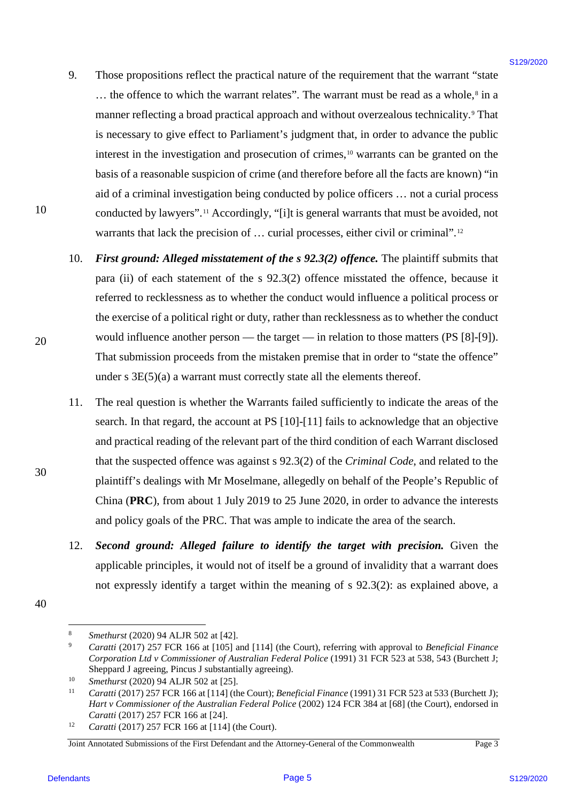- 9. Those propositions reflect the practical nature of the requirement that the warrant "state Those propositions reflect the practical nature of the requirement that the warrant "state ... the offence to which the warrant relates". The warrant must be read as a whole,<sup>[8](#page-4-0)</sup> in a manner reflecting a broad practical approach and without overzealous technicality.[9](#page-4-1) That manner reflecting <sup>a</sup> broad practical approach and without overzealous technicality.° That is necessary to give effect to Parliament's judgment that, in order to advance the public is necessary to give effect to Parliament's judgment that, in order to advance the public interest in the investigation and prosecution of crimes,<sup>[10](#page-4-2)</sup> warrants can be granted on the basis of a reasonable suspicion of crime (and therefore before all the facts are known) "in basis of <sup>a</sup> reasonable suspicion of crime (and therefore before all the facts are known) "in aid of a criminal investigation being conducted by police officers … not a curial process aid of <sup>a</sup> criminal investigation being conducted by police officers ... not <sup>a</sup> curial process conducted by lawyers".[11](#page-4-3) Accordingly, "[i]t is general warrants that must be avoided, not conducted by lawyers".'' Accordingly, "[iJ]t is general warrants that must be avoided, not warrants that lack the precision of ... curial processes, either civil or criminal".<sup>[12](#page-4-4)</sup> 9. Those propositions of locating metalla nature of the requirement that the searnant "state<br>
... the effects to shock the woman relates." The searnal rest tend as a whole, in<br>
summer reletating it many interest than the
	- 10. First ground: Alleged misstatement of the s 92.3(2) offence. The plaintiff submits that para (ii) of each statement of the s 92.3(2) offence misstated the offence, because it referred to recklessness as to whether the conduct would influence a political process or referred to recklessness as to whether the conduct would influence a political process or the exercise of a political right or duty, rather than recklessness as to whether the conduct the exercise of <sup>a</sup> political right or duty, rather than recklessness as to whether the conduct would influence another person — the target — in relation to those matters (PS [8]-[9]). would influence another person — the target — in relation to those matters (PS [8]-[9]). That submission proceeds from the mistaken premise that in order to "state the offence" That submission proceeds from the mistaken premise that in order to "state the offence" under  $s \, 3E(5)(a)$  a warrant must correctly state all the elements thereof. 10.
	- 11. The real question is whether the Warrants failed sufficiently to indicate the areas of the search. In that regard, the account at PS [10]-[11] fails to acknowledge that an objective search. In that regard, the account at PS [10]-[11] fails to acknowledge that an objective and practical reading of the relevant part of the third condition of each Warrant disclosed and practical reading of the relevant part of the third condition of each Warrant disclosed that the suspected offence was against s 92.3(2) of the *Criminal Code*, and related to the that the suspected offence was against <sup>s</sup> 92.3(2) of the Criminal Code, and related to the plaintiff's dealings with Mr Moselmane, allegedly on behalf of the People's Republic of plaintiff's dealings with Mr Moselmane, allegedly on behalf of the People's Republic of China (PRC), from about 1 July 2019 to 25 June 2020, in order to advance the interests and policy goals of the PRC. That was ample to indicate the area of the search. and policy goals of the PRC.That was ample to indicate the area of the search. 11.
	- 12. Second ground: Alleged failure to identify the target with precision. Given the applicable principles, it would not of itself be a ground of invalidity that a warrant does applicable principles, it would not of itself be <sup>a</sup> ground of invalidity that <sup>a</sup> warrant does not expressly identify a target within the meaning of s 92.3(2): as explained above, a not expressly identify <sup>a</sup> target within the meaning of <sup>s</sup> 92.3(2): as explained above, <sup>a</sup> 12.
- <span id="page-4-1"></span><span id="page-4-0"></span>40 40

30 30

10 10

**<sup>8</sup>** *Smethurst* (2020) 94 ALJR 502 at [42].

<sup>&</sup>lt;sup>9</sup> Caratti (2017) 257 FCR 166 at [105] and [114] (the Court), referring with approval to Beneficial Finance *Corporation Ltd v Commissioner of Australian Federal Police* (1991) 31 FCR 523 at 538, 543 (Burchett J; Corporation Ltd v Commissioner of Australian Federal Police (1991) 31 FCR 523 at 538, 543 (Burchett J; Sheppard J agreeing, Pincus J substantially agreeing).

<span id="page-4-2"></span><sup>&</sup>lt;sup>10</sup> *Smethurst* (2020) 94 ALJR 502 at [25].

<span id="page-4-3"></span><sup>&</sup>lt;sup>11</sup> *Caratti* (2017) 257 FCR 166 at [114] (the Court); *Beneficial Finance* (1991) 31 FCR 523 at 533 (Burchett J); *Hart v Commissioner of the Australian Federal Police* (2002) 124 FCR 384 at [68] (the Court), endorsed in Hart v Commissioner of the Australian Federal Police (2002) 124 FCR 384 at [68] (the Court), endorsed in *Caratti* (2017) 257 FCR 166 at [24].

<sup>&</sup>lt;sup>12</sup> *Caratti* (2017) 257 FCR 166 at [114] (the Court).

<span id="page-4-4"></span>Joint Annotated Submissions of the First Defendant and the Attorney-General of the Commonwealth Page 3 Joint Annotated Submissions of the First Defendant and the Attorney-General ofthe Commonwealth Page 3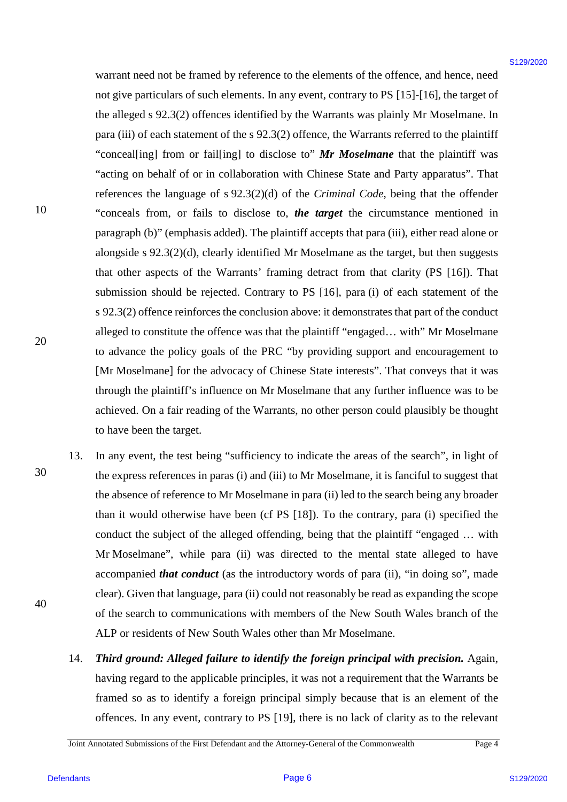warrant need not be framed by reference to the elements of the offence, and hence, need warrant need not be framed by reference to the elements of the offence, and hence, need not give particulars of such elements. In any event, contrary to PS [15]-[16], the target of not give particulars of such elements. In any event, contrary to PS [15]-[16], the target of the alleged s 92.3(2) offences identified by the Warrants was plainly Mr Moselmane. In the alleged <sup>s</sup> 92.3(2) offences identified by the Warrants was plainly Mr Moselmane. In para (iii) of each statement of the s 92.3(2) offence, the Warrants referred to the plaintiff "conceal[ing] from or fail[ing] to disclose to" Mr Moselmane that the plaintiff was "acting on behalf of or in collaboration with Chinese State and Party apparatus". That "acting on behalf of or in collaboration with Chinese State and Party apparatus". That references the language of s 92.3(2)(d) of the *Criminal Code*, being that the offender "conceals from, or fails to disclose to, *the target* the circumstance mentioned in "conceals from, or fails to disclose to, the target the circumstance mentioned in paragraph (b)" (emphasis added). The plaintiff accepts that para (iii), either read alone or paragraph (b)" (emphasis added). The plaintiffaccepts that para (iii), either read alone or alongside s 92.3(2)(d), clearly identified Mr Moselmane as the target, but then suggests alongside <sup>s</sup> 92.3(2)(d), clearly identified Mr Moselmane as the target, but then suggests that other aspects of the Warrants' framing detract from that clarity (PS [16]). That that other aspects of the Warrants' framing detract from that clarity (PS [16]). That submission should be rejected. Contrary to PS [16], para (i) of each statement of the s 92.3(2) offence reinforces the conclusion above: it demonstrates that part of the conduct <sup>s</sup> 92.3(2) offence reinforces the conclusion above: it demonstrates that part of the conduct alleged to constitute the offence was that the plaintiff "engaged… with" Mr Moselmane alleged to constitute the offence was that the plaintiff "engaged... with" Mr Moselmane to advance the policy goals of the PRC "by providing support and encouragement to to advance the policy goals of the PRC "by providing support and encouragement to [Mr Moselmane] for the advocacy of Chinese State interests". That conveys that it was [Mr Moselmane] for the advocacy of Chinese State interests". That conveys that it was through the plaintiff's influence on Mr Moselmane that any further influence was to be through the plaintiff's influence on Mr Moselmane that any further influence was to be achieved. On a fair reading of the Warrants, no other person could plausibly be thought to have been the target. to have been the target. warrant mead not be frameed by reference to the elements of the offence, and hence, nearly<br>not the particles of stoch elements. In my verte, correray on B1[31-10], the two regres of<br>the alleged v-9.23(2) or<br>forces simulfi

- 13. In any event, the test being "sufficiency to indicate the areas of the search", in light of the express references in paras (i) and (iii) to Mr Moselmane, it is fanciful to suggest that the absence of reference to Mr Moselmane in para (ii) led to the search being any broader the absence of reference to Mr Moselmane in para (ii) led to the search being any broader than it would otherwise have been (cf PS [18]). To the contrary, para (i) specified the than it would otherwise have been (cf PS [18]). To the contrary, para (i) specified the conduct the subject of the alleged offending, being that the plaintiff "engaged ... with Mr Moselmane", while para (ii) was directed to the mental state alleged to have Mr Moselmane", while para (ii) was directed to the mental state alleged to have accompanied *that conduct* (as the introductory words of para (ii), "in doing so", made clear). Given that language, para (ii) could not reasonably be read as expanding the scope clear). Given that language, para (1i) could not reasonably be read as expanding the scope of the search to communications with members of the New South Wales branch of the ALP or residents of New South Wales other than Mr Moselmane. ALP or residents of New South Wales other than Mr Moselmane. 13.
	- 14. Third ground: Alleged failure to identify the foreign principal with precision. Again, having regard to the applicable principles, it was not a requirement that the Warrants be having regard to the applicable principles, it was not a requirement that the Warrants be framed so as to identify a foreign principal simply because that is an element of the framed so as to identify <sup>a</sup> foreign principal simply because that is an element of the offences. In any event, contrary to PS [19], there is no lack of clarity as to the relevant offences. In any event, contrary to PS [19], there is no lack of clarity as to the relevant 14.

Joint Annotated Submissions of the First Defendant and the Attorney-General of the Commonwealth Page 4 Joint Annotated Submissions of the First Defendant and the Attorney-General ofthe Commonwealth Page 4

10 10

30 30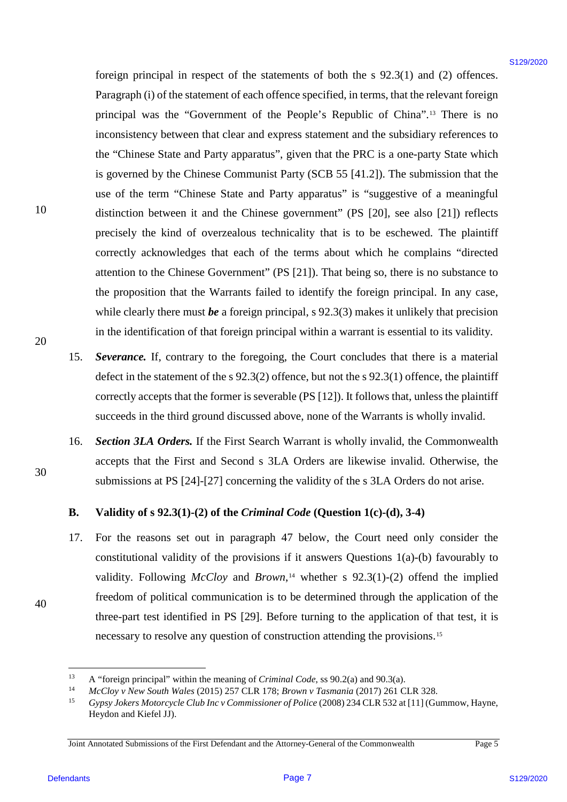foreign principal in respect of the statements of both the s 92.3(1) and (2) offences. foreign principal in respect of the statements of both the <sup>s</sup> 92.3(1) and (2) offences. Paragraph (i) of the statement of each offence specified, in terms, that the relevant foreign principal was the "Government of the People's Republic of China".[13](#page-6-0) There is no principal was the "Government of the People's Republic of China".'? There is no inconsistency between that clear and express statement and the subsidiary references to inconsistency between that clear and express statement and the subsidiary references to the "Chinese State and Party apparatus", given that the PRC is a one-party State which the "Chinese State and Party apparatus", given that the PRC is <sup>a</sup> one-party State which is governed by the Chinese Communist Party (SCB 55 [41.2]). The submission that the is governed by the Chinese Communist Party (SCB 55 [41.2]). The submission that the use of the term "Chinese State and Party apparatus" is "suggestive of a meaningful use of the term "Chinese State and Party apparatus" is "suggestive of a meaningful distinction between it and the Chinese government" (PS [20], see also [21]) reflects distinction between it and the Chinese government" (PS [20], see also [21]) reflects precisely the kind of overzealous technicality that is to be eschewed. The plaintiff precisely the kind of overzealous technicality that is to be eschewed. The plaintiff correctly acknowledges that each of the terms about which he complains "directed correctly acknowledges that each of the terms about which he complains "directed attention to the Chinese Government" (PS [21]). That being so, there is no substance to attention to the Chinese Government" (PS [21]). That being so, there is no substance to the proposition that the Warrants failed to identify the foreign principal. In any case, the proposition that the Warrants failed to identify the foreign principal. In any case, while clearly there must *be* a foreign principal, s 92.3(3) makes it unlikely that precision in the identification of that foreign principal within a warrant is essential to its validity. in the identification of that foreign principal within <sup>a</sup> warrant is essential to its validity. foreign principal in respect of the statements of both the  $\sqrt{9.2}(t)$  and (2) offences-<br>Page 700 of the statement of electron precision, the there were the properties of the correspondent of the content of the properties

- 15. *Severance.* If, contrary to the foregoing, the Court concludes that there is a material Severance. If, contrary to the foregoing, the Court concludes that there is a material defect in the statement of the s 92.3(2) offence, but not the s 92.3(1) offence, the plaintiff defect in the statement of the <sup>s</sup> 92.3(2) offence, but not the <sup>s</sup> 92.3(1) offence, the plaintiff correctly accepts that the former is severable (PS [12]). It follows that, unless the plaintiff correctly accepts that the former is severable (PS [12]). It follows that, unless the plaintiff succeeds in the third ground discussed above, none of the Warrants is wholly invalid. succeeds in the third ground discussed above, none of the Warrants is wholly invalid. 15.
- 16. Section 3LA Orders. If the First Search Warrant is wholly invalid, the Commonwealth accepts that the First and Second s 3LA Orders are likewise invalid. Otherwise, the accepts that the First and Second <sup>s</sup> 3LA Orders are likewise invalid. Otherwise, the submissions at PS [24]-[27] concerning the validity of the s 3LA Orders do not arise. submissions at PS [24]-[27] concerning the validity of the <sup>s</sup> 3LA Orders do not arise. 16.

# **B. Validity of s 92.3(1)-(2) of the** *Criminal Code* **(Question 1(c)-(d), 3-4)** Validity of <sup>s</sup> 92.3(1)-(2) of the Criminal Code (Question 1(c)-(d), 3-4)

17. For the reasons set out in paragraph [47](#page-19-0) below, the Court need only consider the For the reasons set out in paragraph 47 below, the Court need only consider the constitutional validity of the provisions if it answers Questions 1(a)-(b) favourably to constitutional validity of the provisions if it answers Questions 1(a)-(b) favourably to validity. Following *McCloy* and *Brown*,<sup>14</sup> whether s 92.3(1)-(2) offend the implied freedom of political communication is to be determined through the application of the freedom of political communication is to be determined through the application of the three-part test identified in PS [29]. Before turning to the application of that test, it is necessary to resolve any question of construction attending the provisions.<sup>[15](#page-6-2)</sup> 17.

30 30

<sup>&</sup>lt;sup>13</sup> A "foreign principal" within the meaning of *Criminal Code*, ss 90.2(a) and 90.3(a).<br><sup>14</sup> McCloy v New South Wales (2015) 257 CLR 178; *Brown v Tasmania* (2017) 261 CLR 328. A "foreign principal" within the meaning of Criminal Code, ss 90.2(a) and 90.3(a).

<span id="page-6-2"></span><span id="page-6-1"></span><span id="page-6-0"></span>

<sup>15</sup> *Gypsy Jokers Motorcycle Club Inc v Commissioner of Police* (2008) 234 CLR 532 at [11] (Gummow, Hayne, Gypsy Jokers Motorcycle Club Inc <sup>v</sup> Commissioner of Police (2008) 234 CLR 532 at [11] (Gummow, Hayne, Heydon and Kiefel JJ). Heydon and Kiefel JJ).

Joint Annotated Submissions of the First Defendant and the Attorney-General of the Commonwealth Page 5 Joint Annotated Submissions of the First Defendant and the Attorney-General ofthe Commonwealth Page <sup>5</sup>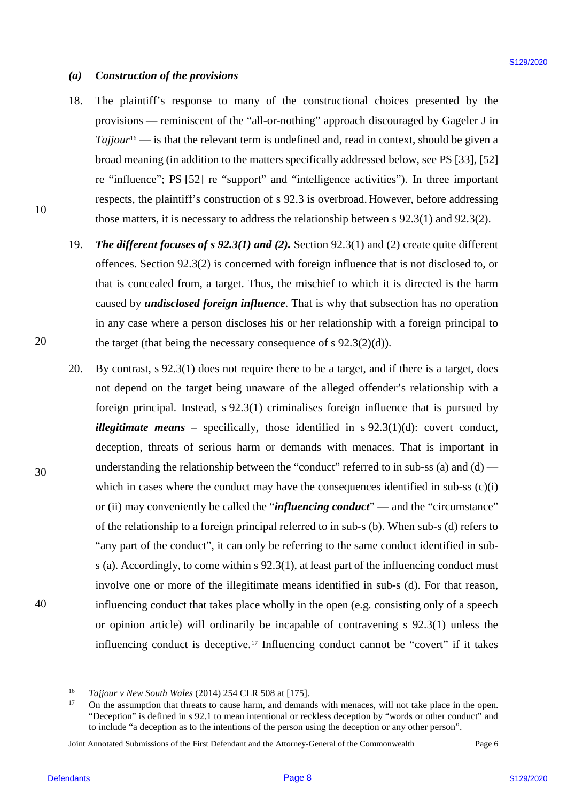### *(a) Construction of the provisions* Construction of the provisions  $(a)$

- 18. The plaintiff's response to many of the constructional choices presented by the The plaintiff's response to many of the constructional choices presented by the provisions — reminiscent of the "all-or-nothing" approach discouraged by Gageler J in provisions — reminiscent of the "'all-or-nothing" approach discouraged by Gageler <sup>J</sup> in  $Tajjour<sup>16</sup>$  — is that the relevant term is undefined and, read in context, should be given a broad meaning (in addition to the matters specifically addressed below, see PS [33], [52] broad meaning (in addition to the matters specifically addressed below, see PS [33], [52] re "influence"; PS [52] re "support" and "intelligence activities"). In three important respects, the plaintiff's construction of s 92.3 is overbroad. However, before addressing respects, the plaintiff's construction of <sup>s</sup> 92.3 is overbroad. However, before addressing those matters, it is necessary to address the relationship between s 92.3(1) and 92.3(2). those matters, it is necessary to address the relationship between <sup>s</sup> 92.3(1) and 92.3(2). 18.
- 19. The different focuses of s 92.3(1) and (2). Section 92.3(1) and (2) create quite different offences. Section 92.3(2) is concerned with foreign influence that is not disclosed to, or that is concealed from, a target. Thus, the mischief to which it is directed is the harm that is concealed from, a target. Thus, the mischief to which it is directed is the harm caused by *undisclosed foreign influence*. That is why that subsection has no operation in any case where a person discloses his or her relationship with a foreign principal to in any case where <sup>a</sup> person discloses his or her relationship with <sup>a</sup> foreign principal to the target (that being the necessary consequence of s 92.3(2)(d)). the target (that being the necessary consequence of <sup>s</sup> 92.3(2)(d)). 19.
- 20. By contrast, s 92.3(1) does not require there to be a target, and if there is a target, does By contrast, <sup>s</sup> 92.3(1) does not require there to be <sup>a</sup> target, and ifthere is <sup>a</sup> target, does not depend on the target being unaware of the alleged offender's relationship with a not depend on the target being unaware of the alleged offender's relationship with <sup>a</sup> foreign principal. Instead, s 92.3(1) criminalises foreign influence that is pursued by foreign principal. Instead, <sup>s</sup> 92.3(1) criminalises foreign influence that is pursued by *illegitimate means* – specifically, those identified in s 92.3(1)(d): covert conduct, deception, threats of serious harm or demands with menaces. That is important in deception, threats of serious harm or demands with menaces. That is important in understanding the relationship between the "conduct" referred to in sub-ss (a) and (d) — understanding the relationship between the "conduct" referred to in sub-ss (a) and (d) which in cases where the conduct may have the consequences identified in sub-ss (c)(i) which in cases where the conduct may have the consequences identified in sub-ss (c)(1) or (ii) may conveniently be called the "*influencing conduct*" — and the "circumstance" of the relationship to a foreign principal referred to in sub-s (b). When sub-s (d) refers to "any part of the conduct", it can only be referring to the same conduct identified in sub $s$  (a). Accordingly, to come within  $s$  92.3(1), at least part of the influencing conduct must involve one or more of the illegitimate means identified in sub-s (d). For that reason, involve one or more of the illegitimate means identified in sub-s (d). For that reason, influencing conduct that takes place wholly in the open (e.g. consisting only of a speech influencing conduct that takes place wholly in the open (e.g. consisting only of <sup>a</sup> speech or opinion article) will ordinarily be incapable of contravening s 92.3(1) unless the influencing conduct is deceptive.<sup>[17](#page-7-1)</sup> Influencing conduct cannot be "covert" if it takes (a) Construction of the provisions<br>
18. The plastical V-scenarios are using or the non-transitional choices personnel by the<br>
periodistics—incident of the "all-o-nothing" approach discontinged by Gagdie 1 in<br>
Trajfore "—i 20.

30 30

40 40

 <sup>16</sup> *Tajjour v New South Wales* (2014) 254 CLR 508 at [175]. Tajjour v New South Wales (2014) 254 CLR 508 at [175].

<span id="page-7-1"></span><span id="page-7-0"></span><sup>&</sup>lt;sup>17</sup> On the assumption that threats to cause harm, and demands with menaces, will not take place in the open. "Deception" is defined in s 92.1 to mean intentional or reckless deception by "words or other conduct" and "Deception" is defined in s 92.1 to mean intentional or reckless deception by "words or other conduct" and to include "a deception as to the intentions of the person using the deception or any other person". to include "a deception as to the intentions ofthe person using the deception or any other person".

Joint Annotated Submissions of the First Defendant and the Attorney-General of the Commonwealth Page 6 Joint Annotated Submissions of the First Defendant and the Attorney-General ofthe Commonwealth Page 6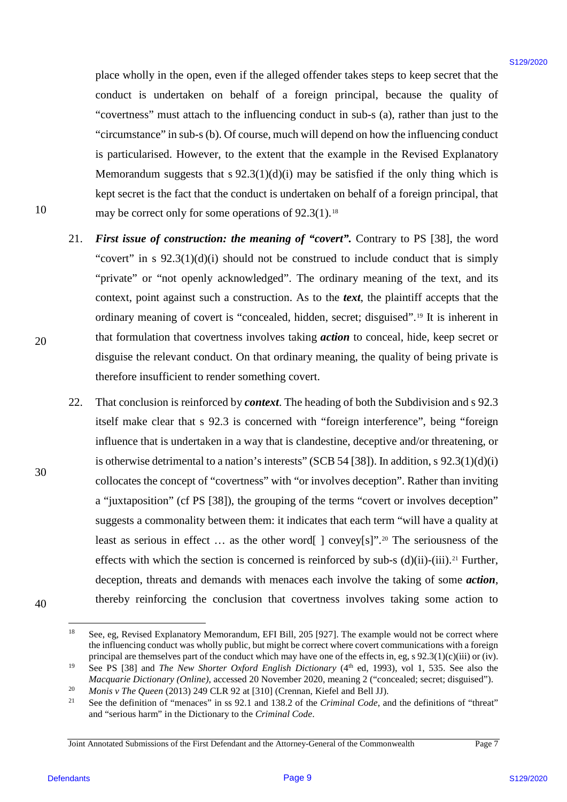place wholly in the open, even if the alleged offender takes steps to keep secret that the conduct is undertaken on behalf of a foreign principal, because the quality of "covertness" must attach to the influencing conduct in sub-s (a), rather than just to the "covertness" must attach to the influencing conduct in sub-s (a), rather than just to the "circumstance" in sub-s (b). Of course, much will depend on how the influencing conduct "circumstance" in sub-s (b). Of course, much will depend on how the influencing conduct is particularised. However, to the extent that the example in the Revised Explanatory is particularised. However, to the extent that the example in the Revised Explanatory Memorandum suggests that  $s$  92.3(1)(d)(i) may be satisfied if the only thing which is kept secret is the fact that the conduct is undertaken on behalf of a foreign principal, that kept secret is the fact that the conduct is undertaken on behalf of a foreign principal, that may be correct only for some operations of 92.3(1).<sup>[18](#page-8-0)</sup>

- 21. First issue of construction: the meaning of "covert". Contrary to PS [38], the word "covert" in s 92.3(1)(d)(i) should not be construed to include conduct that is simply "covert" in <sup>s</sup> 92.3(1)(d)(i) should not be construed to include conduct that is simply "private" or "not openly acknowledged". The ordinary meaning of the text, and its context, point against such a construction. As to the text, the plaintiff accepts that the ordinary meaning of covert is "concealed, hidden, secret; disguised".[19](#page-8-1) It is inherent in ordinary meaning of covert is "concealed, hidden, secret; disguised"'.'° It is inherent in that formulation that covertness involves taking *action* to conceal, hide, keep secret or that formulation that covertness involves taking action to conceal, hide, keep secret or disguise the relevant conduct. On that ordinary meaning, the quality of being private is disguise the relevant conduct. On that ordinary meaning, the quality of being private is therefore insufficient to render something covert. therefore insufficient to render something covert. 21.
- 22. That conclusion is reinforced by *context*. The heading of both the Subdivision and s 92.3 That conclusion is reinforced by context. The heading of both the Subdivision and <sup>s</sup> 92.3 itself make clear that s 92.3 is concerned with "foreign interference", being "foreign influence that is undertaken in a way that is clandestine, deceptive and/or threatening, or influence that is undertaken in a way that is clandestine, deceptive and/or threatening, or is otherwise detrimental to a nation's interests" (SCB 54 [38]). In addition, s 92.3(1)(d)(i) is otherwise detrimental to a nation's interests" (SCB 54 [38]). In addition, <sup>s</sup> 92.3(1)(d)(1) collocates the concept of "covertness" with "or involves deception". Rather than inviting collocates the concept of ""covertness" with "or involves deception". Rather than inviting a "juxtaposition" (cf PS [38]), the grouping of the terms "covert or involves deception" a "juxtaposition" (cf PS [38]), the grouping of the terms "covert or involves deception" suggests a commonality between them: it indicates that each term "will have a quality at suggests <sup>a</sup> commonality between them: it indicates that each term "will have <sup>a</sup> quality at least as serious in effect  $\dots$  as the other word[ ] convey[s]".<sup>[20](#page-8-2)</sup> The seriousness of the effects with which the section is concerned is reinforced by sub-s  $(d)(ii)$ - $(iii)$ .<sup>[21](#page-8-3)</sup> Further, deception, threats and demands with menaces each involve the taking of some *action*, deception, threats and demands with menaces each involve the taking of some action, thereby reinforcing the conclusion that covertness involves taking some action to thereby reinforcing the conclusion that covertness involves taking some action to place study in the open, even if the alleged offerair takes steps to keep second that is considerably on the bottom behalf of a foreign principal, because the quality of the considerably considered and the considerably of 22.

30 30

20 20

10 10

<span id="page-8-0"></span> <sup>18</sup> See, eg, Revised Explanatory Memorandum, EFI Bill, 205 [927]. The example would not be correct where See, eg, Revised Explanatory Memorandum, EFI Bill, 205 [927]. The example would not be correct where the influencing conduct was wholly public, but might be correct where covert communications with a foreign principal are themselves part of the conduct which may have one of the effects in, eg, s 92.3(1)(c)(iii) or (iv).

<span id="page-8-1"></span><sup>&</sup>lt;sup>19</sup> See PS [38] and *The New Shorter Oxford English Dictionary* ( $4<sup>th</sup>$  ed, 1993), vol 1, 535. See also the *Macquarie Dictionary (Online)*, accessed 20 November 2020, meaning 2 ("concealed; secret; disguised").<br><sup>20</sup> *Monis v The Queen* (2013) 249 CLR 92 at [310] (Crennan, Kiefel and Bell JJ).

<span id="page-8-2"></span><sup>20</sup> Monis v The Queen (2013) 249 CLR 92 at [310] (Crennan, Kiefel and Bell JJ).

<span id="page-8-3"></span><sup>&</sup>lt;sup>21</sup> See the definition of "menaces" in ss 92.1 and 138.2 of the *Criminal Code*, and the definitions of "threat" and "serious harm" in the Dictionary to the *Criminal Code*. and "serious harm" in the Dictionary to the Criminal Code. 21

Joint Annotated Submissions of the First Defendant and the Attorney-General of the Commonwealth Page 7 Joint Annotated Submissions of the First Defendant and the Attorney-General ofthe Commonwealth Page 7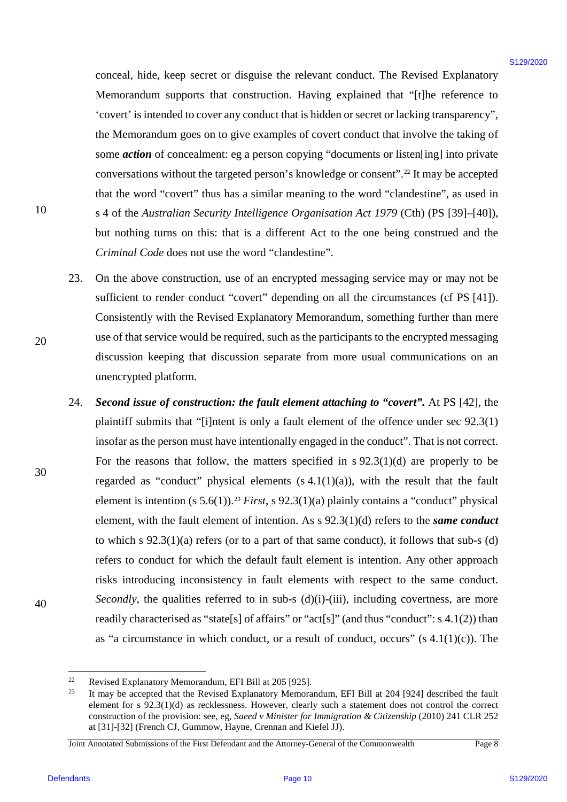conceal, hide, keep secret or disguise the relevant conduct. The Revised Explanatory conceal, hide, keep secret or disguise the relevant conduct. The Revised Explanatory Memorandum supports that construction. Having explained that "[t]he reference to Memorandum supports that construction. Having explained that "[t]he reference to 'covert' is intended to cover any conduct that is hidden or secret or lacking transparency", 'covert' is intended to cover any conduct that is hidden or secret or lacking transparency", the Memorandum goes on to give examples of covert conduct that involve the taking of some *action* of concealment: eg a person copying "documents or listen[ing] into private conversations without the targeted person's knowledge or consent".<sup>[22](#page-9-0)</sup> It may be accepted that the word "covert" thus has a similar meaning to the word "clandestine", as used in that the word "covert" thus has <sup>a</sup> similar meaning to the word "clandestine", as used in s 4 of the *Australian Security Intelligence Organisation Act 1979* (Cth) (PS [39]–[40]), <sup>s</sup> 4 of the Australian Security Intelligence Organisation Act 1979 (Cth) (PS [39]-[40]), but nothing turns on this: that is a different Act to the one being construed and the but nothing turns on this: that is <sup>a</sup> different Act to the one being construed and the *Criminal Code* does not use the word "clandestine". Criminal Code does not use the word "clandestine"'.

- 23. On the above construction, use of an encrypted messaging service may or may not be On the above construction, use of an encrypted messaging service may or may not be sufficient to render conduct "covert" depending on all the circumstances (cf PS [41]). sufficient to render conduct "covert" depending on all the circumstances (cf PS [41]). Consistently with the Revised Explanatory Memorandum, something further than mere Consistently with the Revised Explanatory Memorandum, something further than mere use of that service would be required, such as the participants to the encrypted messaging use of that service would be required, such as the participants to the encrypted messaging discussion keeping that discussion separate from more usual communications on an discussion keeping that discussion separate from more usual communications on an unencrypted platform. unencrypted platform. 23.
- 24. Second issue of construction: the fault element attaching to "covert". At PS [42], the plaintiff submits that "[i]ntent is only a fault element of the offence under sec 92.3(1) plaintiff submits that "[i]ntent is only <sup>a</sup> fault element of the offence under sec 92.3(1) insofar as the person must have intentionally engaged in the conduct". That is not correct. insofar as the person must have intentionally engaged in the conduct". That is not correct. For the reasons that follow, the matters specified in s 92.3(1)(d) are properly to be For the reasons that follow, the matters specified in <sup>s</sup> 92.3(1)(d) are properly to be regarded as "conduct" physical elements  $(s 4.1(1)(a))$ , with the result that the fault element is intention (s  $5.6(1)$ ).<sup>[23](#page-9-1)</sup> *First*, s  $92.3(1)(a)$  plainly contains a "conduct" physical element, with the fault element of intention. As s 92.3(1)(d) refers to the *same conduct* element, with the fault element of intention. As <sup>s</sup> 92.3(1)(d) refers to the same conduct to which s 92.3(1)(a) refers (or to a part of that same conduct), it follows that sub-s (d) to which <sup>s</sup> 92.3(1)(a) refers (or to <sup>a</sup> part of that same conduct), it follows that sub-s (d) refers to conduct for which the default fault element is intention. Any other approach refers to conduct for which the default fault element is intention. Any other approach risks introducing inconsistency in fault elements with respect to the same conduct. risks introducing inconsistency in fault elements with respect to the same conduct. Secondly, the qualities referred to in sub-s (d)(i)-(iii), including covertness, are more readily characterised as "state[s] of affairs" or "act[s]" (and thus "conduct": s 4.1(2)) than readily characterised as "state[s] of affairs" or "act[s]" (and thus "conduct": <sup>s</sup> 4.1(2)) than as "a circumstance in which conduct, or a result of conduct, occurs"  $(s 4.1(1)(c))$ . The conceal, bials, keep secret or disguise the relevant conduct. The Revised Explanation Mericanonical material of the concealed field of  $m$  (Be reference or  $m$ ) control in the second of the second of the second of the sec 24.

30 30

40 40

20 20

<span id="page-9-1"></span><span id="page-9-0"></span><sup>22</sup> Revised Explanatory Memorandum, EFI Bill at 205 [925].

Revised Explanatory Memorandum, EFI Bill at 205 [925].<br>
<sup>22</sup> It may be accepted that the Revised Explanatory Memorandum, EFI Bill at 204 [924] described the fault element for s 92.3(1)(d) as recklessness. However, clearly such a statement does not control the correct element for s 92.3(1)(d) as recklessness. However, clearly such a statement does not control the correct construction of the provision: see, eg, Saeed v Minister for Immigration & Citizenship (2010) 241 CLR 252 at [31]-[32] (French CJ, Gummow, Hayne, Crennan and Kiefel JJ). at [31]-[32] (French CJ, Gummow, Hayne, Crennan and Kiefel JJ). 23

Joint Annotated Submissions of the First Defendant and the Attorney-General of the Commonwealth Page 8 Joint Annotated Submissions of the First Defendant and the Attorney-General ofthe Commonwealth Page 8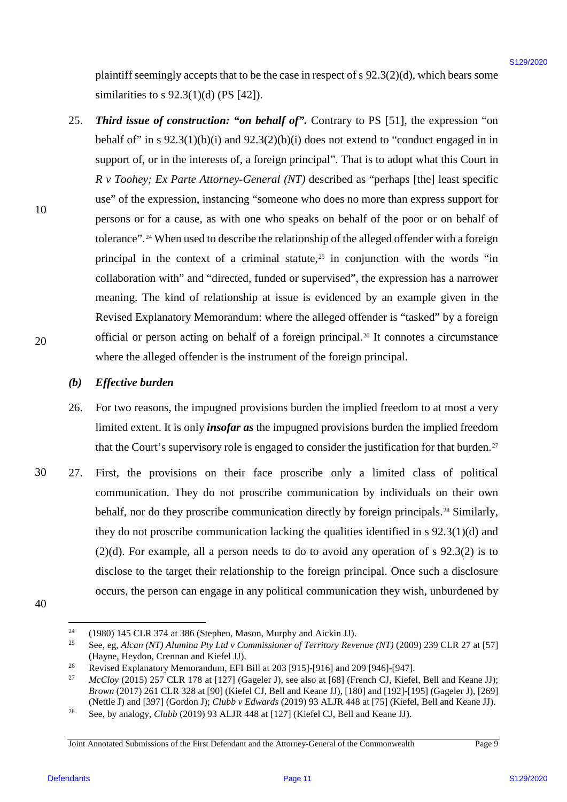plaintiff seemingly accepts that to be the case in respect of s 92.3(2)(d), which bears some plaintiff seemingly accepts that to be the case in respect of <sup>s</sup> 92.3(2)(d), which bears some similarities to s 92.3(1)(d) (PS [42]). similarities to <sup>s</sup> 92.3(1)(d) (PS [42]).

25. Third issue of construction: "on behalf of". Contrary to PS [51], the expression "on behalf of" in s  $92.3(1)(b)(i)$  and  $92.3(2)(b)(i)$  does not extend to "conduct engaged in in support of, or in the interests of, a foreign principal". That is to adopt what this Court in *R v Toohey; Ex Parte Attorney-General (NT)* described as "perhaps [the] least specific R v Toohey, Ex Parte Attorney-General (NT) described as "perhaps [the] least specific use" of the expression, instancing "someone who does no more than express support for use" of the expression, instancing "someone who does no more than express support for persons or for a cause, as with one who speaks on behalf of the poor or on behalf of persons or for <sup>a</sup> cause, as with one who speaks on behalf of the poor or on behalf of tolerance".<sup>[24](#page-10-0)</sup> When used to describe the relationship of the alleged offender with a foreign principal in the context of a criminal statute,<sup>[25](#page-10-1)</sup> in conjunction with the words "in collaboration with" and "directed, funded or supervised", the expression has a narrower collaboration with" and "directed, funded or supervised", the expression has a narrower meaning. The kind of relationship at issue is evidenced by an example given in the meaning. The kind of relationship at issue is evidenced by an example given in the Revised Explanatory Memorandum: where the alleged offender is "tasked" by a foreign Revised Explanatory Memorandum: where the alleged offender is "tasked" by <sup>a</sup> foreign official or person acting on behalf of a foreign principal.<sup>[26](#page-10-2)</sup> It connotes a circumstance where the alleged offender is the instrument of the foreign principal. where the alleged offender is the instrument of the foreign principal. plantif secondary accepts that to be the case in respect of s 92.3(2)(d), which hears consider<br>and infinite to 82.3(1)(d) (95 [42)).<br>
25. Third less of construction: "or behalf of". Containy to PS [51], the expression "on 25.

### *(b) Effective burden* Effective burden (b)

- 26. For two reasons, the impugned provisions burden the implied freedom to at most a very For two reasons, the impugned provisions burden the implied freedom to at most <sup>a</sup> very limited extent. It is only *insofar as* the impugned provisions burden the implied freedom limited extent. It is only insofar as the impugned provisions burden the implied freedom that the Court's supervisory role is engaged to consider the justification for that burden.<sup>[27](#page-10-3)</sup> 26.
- 30 30 27. First, the provisions on their face proscribe only a limited class of political First, the provisions on their face proscribe only <sup>a</sup> limited class of political communication. They do not proscribe communication by individuals on their own communication. They do not proscribe communication by individuals on their own behalf, nor do they proscribe communication directly by foreign principals.<sup>[28](#page-10-4)</sup> Similarly, they do not proscribe communication lacking the qualities identified in s 92.3(1)(d) and they do not proscribe communication lacking the qualities identified in <sup>s</sup> 92.3(1)(d) and (2)(d). For example, all a person needs to do to avoid any operation of s 92.3(2) is to (2)(d). For example, all <sup>a</sup> person needs to do to avoid any operation of <sup>s</sup> 92.3(2) is to disclose to the target their relationship to the foreign principal. Once such a disclosure occurs, the person can engage in any political communication they wish, unburdened by occurs, the person can engage in any political communication they wish,unburdened by 27.
- <span id="page-10-1"></span><span id="page-10-0"></span>40 40

10 10

<sup>&</sup>lt;sup>24</sup> (1980) 145 CLR 374 at 386 (Stephen, Mason, Murphy and Aickin JJ). 24

<sup>&</sup>lt;sup>25</sup> See, eg, *Alcan (NT) Alumina Pty Ltd v Commissioner of Territory Revenue (NT)* (2009) 239 CLR 27 at [57] (Hayne, Heydon, Crennan and Kiefel JJ). 25

<span id="page-10-2"></span><sup>&</sup>lt;sup>26</sup> Revised Explanatory Memorandum, EFI Bill at 203 [915]-[916] and 209 [946]-[947]. 26

<span id="page-10-3"></span><sup>&</sup>lt;sup>27</sup> *McCloy* (2015) 257 CLR 178 at [127] (Gageler J), see also at [68] (French CJ, Kiefel, Bell and Keane JJ); *Brown* (2017) 261 CLR 328 at [90] (Kiefel CJ, Bell and Keane JJ), [180] and [192]-[195] (Gageler J), [269] Brown (2017) 261 CLR 328 at [90] (Kiefel CJ, Bell and Keane JJ), [180] and [192]-[195] (Gageler J), [269] (Nettle J) and [397] (Gordon J); *Clubb v Edwards* (2019) 93 ALJR 448 at [75] (Kiefel, Bell and Keane JJ). 27

<span id="page-10-4"></span><sup>28</sup> See, by analogy, *Clubb* (2019) 93 ALJR 448 at [127] (Kiefel CJ, Bell and Keane JJ). See, by analogy, Clubb (2019) 93 ALJR 448 at [127] (Kiefel CJ, Bell and Keane JJ). 28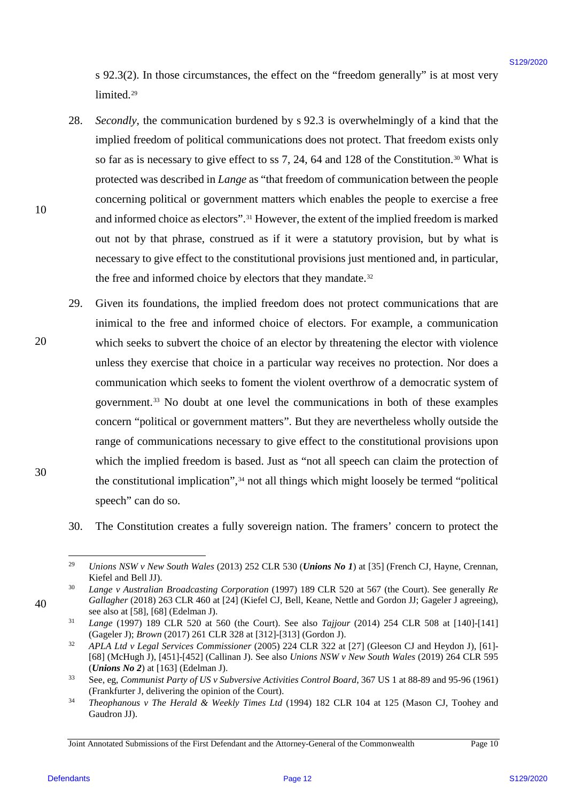s 92.3(2). In those circumstances, the effect on the "freedom generally" is at most very <sup>s</sup> 92.3(2). In those circumstances, the effect on the "freedom generally" is at most very limited.[29](#page-11-0) limited.2°

- 28. *Secondly*, the communication burdened by s 92.3 is overwhelmingly of a kind that the Secondly, the communication burdened by <sup>s</sup> 92.3 is overwhelmingly of <sup>a</sup> kind that the implied freedom of political communications does not protect. That freedom exists only implied freedom of political communications does not protect. That freedom exists only so far as is necessary to give effect to ss 7, 24, 64 and 128 of the Constitution.<sup>[30](#page-11-1)</sup> What is protected was described in *Lange* as "that freedom of communication between the people protected was described in Lange as "that freedom of communication between the people concerning political or government matters which enables the people to exercise a free and informed choice as electors".<sup>31</sup> However, the extent of the implied freedom is marked out not by that phrase, construed as if it were a statutory provision, but by what is necessary to give effect to the constitutional provisions just mentioned and, in particular, necessary to give effect to the constitutional provisions just mentioned and, in particular, the free and informed choice by electors that they mandate.<sup>[32](#page-11-3)</sup> 28.
- 29. Given its foundations, the implied freedom does not protect communications that are Given its foundations, the implied freedom does not protect communications that are inimical to the free and informed choice of electors. For example, a communication inimical to the free and informed choice of electors. For example, <sup>a</sup> communication which seeks to subvert the choice of an elector by threatening the elector with violence unless they exercise that choice in a particular way receives no protection. Nor does a unless they exercise that choice in a particular way receives no protection. Nor does <sup>a</sup> communication which seeks to foment the violent overthrow of a democratic system of communication which seeks to foment the violent overthrow of a democratic system of government.<sup>[33](#page-11-4)</sup> No doubt at one level the communications in both of these examples concern "political or government matters". But they are nevertheless wholly outside the concern "political or government matters". But they are nevertheless wholly outside the range of communications necessary to give effect to the constitutional provisions upon range of communications necessary to give effect to the constitutional provisions upon which the implied freedom is based. Just as "not all speech can claim the protection of which the implied freedom is based. Just as "not all speech can claim the protection of the constitutional implication",<sup>[34](#page-11-5)</sup> not all things which might loosely be termed "political speech" can do so. speech" can do so. s 92.372). In those electromationes, the effect on the "freedom generally" is at most very<br>
Entroide. Secondly, the communication backnad by s 92.1 is overvled<br>rainingly of a kind that the simplest freedom of political co 29.
- - 30. The Constitution creates a fully sovereign nation. The framers' concern to protect the The Constitution creates <sup>a</sup> fully sovereign nation.The framers' concern to protect the 30.

30 30

<span id="page-11-3"></span><span id="page-11-2"></span><span id="page-11-1"></span><span id="page-11-0"></span>40 40

20 20

 <sup>29</sup> *Unions NSW v New South Wales* (2013) 252 CLR 530 (*Unions No 1*) at [35] (French CJ, Hayne, Crennan, Unions NSW v New South Wales (2013) 252 CLR 530 (Unions No 1) at [35] (French CJ, Hayne, Crennan, Kiefel and Bell JJ). 29

<sup>30</sup> *Lange v Australian Broadcasting Corporation* (1997) 189 CLR 520 at 567 (the Court). See generally *Re*  Lange v Australian Broadcasting Corporation (1997) 189 CLR 520 at 567 (the Court). See generally Re Gallagher (2018) 263 CLR 460 at [24] (Kiefel CJ, Bell, Keane, Nettle and Gordon JJ; Gageler J agreeing), see also at [58], [68] (Edelman J). 30

<sup>31</sup> *Lange* (1997) 189 CLR 520 at 560 (the Court). See also *Tajjour* (2014) 254 CLR 508 at [140]-[141] Lange (1997) 189 CLR 520 at 560 (the Court). See also Tajjour (2014) 254 CLR 508 at [140]-[141] (Gageler J); *Brown* (2017) 261 CLR 328 at [312]-[313] (Gordon J). 31

<sup>32</sup> *APLA Ltd v Legal Services Commissioner* (2005) 224 CLR 322 at [27] (Gleeson CJ and Heydon J), [61]- APLA Ltd v Legal Services Commissioner (2005) 224 CLR 322 at [27] (Gleeson CJ and Heydon J), [61]- [68] (McHugh J), [451]-[452] (Callinan J). See also *Unions NSW v New South Wales* (2019) 264 CLR 595 [68] (McHugh J), [451]-[452] (Callinan J). See also Unions NSW v New South Wales (2019) <sup>264</sup> CLR <sup>595</sup> (*Unions No 2*) at [163] (Edelman J).<br><sup>33</sup> See, eg, *Communist Party of US v Subversive Activities Control Board*, 367 US 1 at 88-89 and 95-96 (1961) 32 (*Unions No 2*) at  $[163]$  (Edelman J).

<span id="page-11-4"></span><sup>(</sup>Frankfurter J, delivering the opinion of the Court). (Frankfurter J, delivering the opinion of the Court). 33

<span id="page-11-5"></span><sup>34</sup> *Theophanous v The Herald & Weekly Times Ltd* (1994) 182 CLR 104 at 125 (Mason CJ, Toohey and Theophanous v The Herald & Weekly Times Ltd (1994) 182 CLR 104 at 125 (Mason CJ, Toohey and Gaudron JJ). Gaudron JJ). 34

Joint Annotated Submissions of the First Defendant and the Attorney-General of the Commonwealth Page 10 Joint Annotated Submissions of the First Defendant and the Attorney-General ofthe Commonwealth Page 10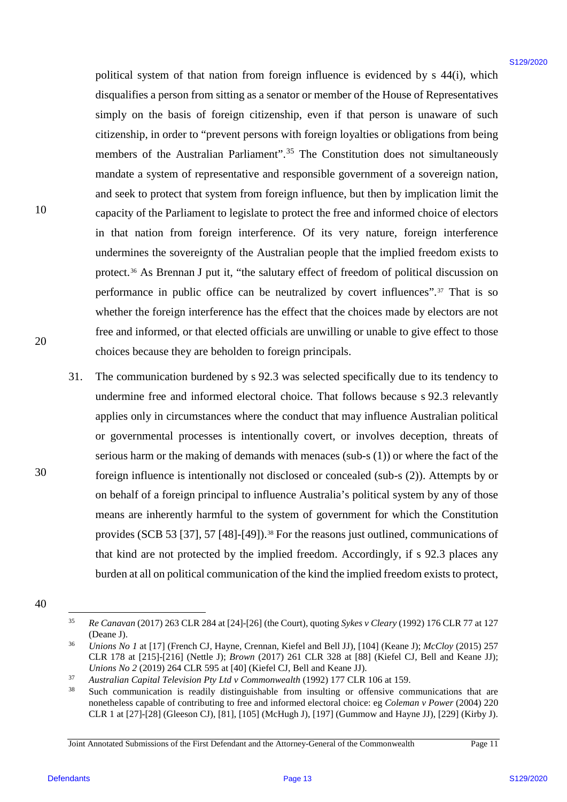political system of that nation from foreign influence is evidenced by s 44(i), which political system of that nation from foreign influence is evidenced by <sup>s</sup> 44(i), which disqualifies a person from sitting as a senator or member of the House of Representatives disqualifies <sup>a</sup> person from sitting as <sup>a</sup> senator or member of the House of Representatives simply on the basis of foreign citizenship, even if that person is unaware of such simply on the basis of foreign citizenship, even if that person is unaware of such citizenship, in order to "prevent persons with foreign loyalties or obligations from being citizenship, in order to "prevent persons with foreign loyalties or obligations from being members of the Australian Parliament".<sup>[35](#page-12-0)</sup> The Constitution does not simultaneously mandate a system of representative and responsible government of a sovereign nation, mandate <sup>a</sup> system of representative and responsible government of <sup>a</sup> sovereign nation, and seek to protect that system from foreign influence, but then by implication limit the and seek to protect that system from foreign influence, but then by implication limit the capacity of the Parliament to legislate to protect the free and informed choice of electors capacity of the Parliament to legislate to protect the free and informed choice of electors in that nation from foreign interference. Of its very nature, foreign interference in that nation from foreign interference. Of its very nature, foreign interference undermines the sovereignty of the Australian people that the implied freedom exists to undermines the sovereignty of the Australian people that the implied freedom exists to protect.<sup>[36](#page-12-1)</sup> As Brennan J put it, "the salutary effect of freedom of political discussion on performance in public office can be neutralized by covert influences".<sup>[37](#page-12-2)</sup> That is so whether the foreign interference has the effect that the choices made by electors are not whether the foreign interference has the effect that the choices made by electors are not free and informed, or that elected officials are unwilling or unable to give effect to those free and informed, or that elected officials are unwilling or unable to give effect to those choices because they are beholden to foreign principals. choices because they are beholden to foreign principals. political system of that mation from foreign influence is evidenced by  $\pm 4k(3)$ , which<br>dynables a present from situation (are neutrator member of the lone of Representative<br>strengthy in the basis of foreign statements o

31. The communication burdened by s 92.3 was selected specifically due to its tendency to The communication burdened by <sup>s</sup> 92.3 was selected specifically due to its tendency to undermine free and informed electoral choice. That follows because s 92.3 relevantly undermine free and informed electoral choice. That follows because <sup>s</sup> 92.3 relevantly applies only in circumstances where the conduct that may influence Australian political applies only in circumstances where the conduct that may influence Australian political or governmental processes is intentionally covert, or involves deception, threats of serious harm or the making of demands with menaces (sub-s (1)) or where the fact of the foreign influence is intentionally not disclosed or concealed (sub-s (2)). Attempts by or foreign influence is intentionally not disclosed or concealed (sub-s (2)). Attempts by or on behalf of a foreign principal to influence Australia's political system by any of those means are inherently harmful to the system of government for which the Constitution means are inherently harmful to the system of government for which the Constitution provides (SCB 53 [37], 57 [48]-[49]).<sup>[38](#page-12-3)</sup> For the reasons just outlined, communications of that kind are not protected by the implied freedom. Accordingly, if s 92.3 places any that kind are not protected by the implied freedom. Accordingly, if <sup>s</sup> 92.3 places any burden at all on political communication of the kind the implied freedom exists to protect, burden at all on political communication of the kind the implied freedom exists to protect, 31.

10 10

20 20

<span id="page-12-1"></span><span id="page-12-0"></span><sup>40</sup> 40

Re Canavan (2017) 263 CLR 284 at [24]-[26] (the Court), quoting *Sykes v Cleary* (1992) 176 CLR 77 at 127 (Deane J). (Deane J). 35

<sup>&</sup>lt;sup>36</sup> *Unions No 1* at [17] (French CJ, Hayne, Crennan, Kiefel and Bell JJ), [104] (Keane J); *McCloy* (2015) 257 CLR 178 at [215]-[216] (Nettle J); *Brown* (2017) 261 CLR 328 at [88] (Kiefel CJ, Bell and Keane JJ); CLR 178 at [215]-[216] (Nettle J); Brown (2017) 261 CLR 328 at [88] (Kiefel CJ, Bell and Keane JJ); *Unions No 2* (2019) 264 CLR 595 at [40] (Kiefel CJ, Bell and Keane JJ). 36

<span id="page-12-2"></span><sup>&</sup>lt;sup>37</sup> Australian Capital Television Pty Ltd v Commonwealth (1992) 177 CLR 106 at 159. 37

<span id="page-12-3"></span><sup>&</sup>lt;sup>38</sup> Such communication is readily distinguishable from insulting or offensive communications that are nonetheless capable of contributing to free and informed electoral choice: eg *Coleman v Power* (2004) 220 nonetheless capable of contributing to free and informed electoral choice: eg Coleman v Power (2004) 220 CLR 1 at  $[27]$ - $[28]$  (Gleeson CJ),  $[81]$ ,  $[105]$  (McHugh J),  $[197]$  (Gummow and Hayne JJ),  $[229]$  (Kirby J). 38

Joint Annotated Submissions of the First Defendant and the Attorney-General of the Commonwealth Page 11 Joint Annotated Submissions of the First Defendant and the Attorney-General ofthe Commonwealth Page <sup>11</sup>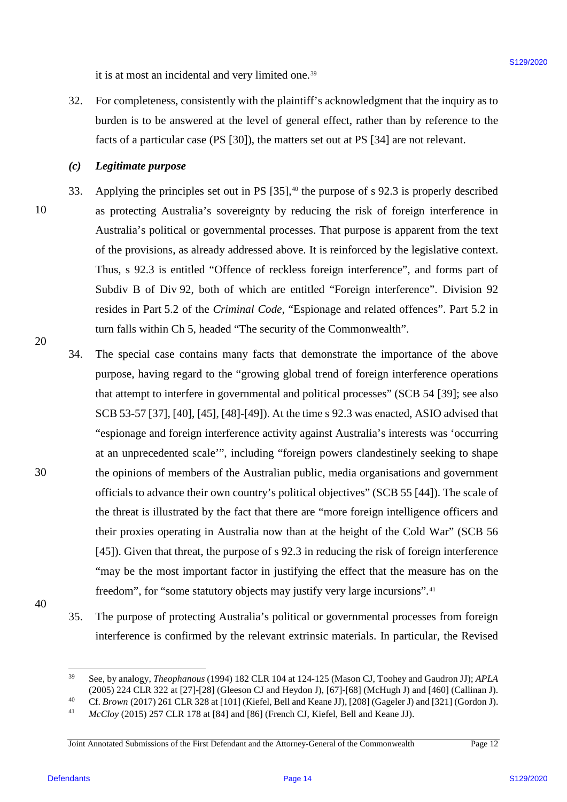it is at most an incidental and very limited one.<sup>[39](#page-13-0)</sup>

32. For completeness, consistently with the plaintiff's acknowledgment that the inquiry as to For completeness, consistently with the plaintiff's acknowledgment that the inquiry as to burden is to be answered at the level of general effect, rather than by reference to the burden is to be answered at the level of general effect, rather than by reference to the facts of a particular case (PS [30]), the matters set out at PS [34] are not relevant. facts of a particular case (PS [30]), the matters set out at PS [34] are not relevant. 32.

### *(c) Legitimate purpose* Legitimatepurpose  $(c)$

- 33. Applying the principles set out in PS [35],<sup>[40](#page-13-1)</sup> the purpose of s 92.3 is properly described as protecting Australia's sovereignty by reducing the risk of foreign interference in as protecting Australia's sovereignty by reducing the risk of foreign interference in Australia's political or governmental processes. That purpose is apparent from the text Australia's political or governmental processes. That purpose is apparent from the text of the provisions, as already addressed above. It is reinforced by the legislative context. of the provisions, as already addressed above. It is reinforced by the legislative context. Thus, s 92.3 is entitled "Offence of reckless foreign interference", and forms part of Thus, <sup>s</sup> 92.3 is entitled "Offence of reckless foreign interference", and forms part of Subdiv B of Div 92, both of which are entitled "Foreign interference". Division 92 Subdiv B of Div 92, both of which are entitled "Foreign interference". Division 92 resides in Part 5.2 of the *Criminal Code*, "Espionage and related offences". Part 5.2 in turn falls within Ch 5, headed "The security of the Commonwealth". turn falls within Ch 5, headed "The security ofthe Commonwealth". 33.
- 34. The special case contains many facts that demonstrate the importance of the above The special case contains many facts that demonstrate the importance of the above purpose, having regard to the "growing global trend of foreign interference operations purpose, having regard to the "growing global trend of foreign interference operations that attempt to interfere in governmental and political processes" (SCB 54 [39]; see also that attempt to interfere in governmental and political processes" (SCB 54 [39]; see also SCB 53-57 [37], [40], [45], [48]-[49]). At the time s 92.3 was enacted, ASIO advised that SCB 53-57 [37], [40], [45], [48]-[49]). At the time <sup>s</sup> 92.3 was enacted, ASIO advised that "espionage and foreign interference activity against Australia's interests was 'occurring "espionage and foreign interference activity against Australia's interests was 'occurring at an unprecedented scale"', including "foreign powers clandestinely seeking to shape the opinions of members of the Australian public, media organisations and government the opinions of members of the Australian public, media organisations and government officials to advance their own country's political objectives" (SCB 55 [44]). The scale of officials to advance their own country's political objectives" (SCB 55 [44]). The scale of the threat is illustrated by the fact that there are "more foreign intelligence officers and the threat is illustrated by the fact that there are "more foreign intelligence officers and their proxies operating in Australia now than at the height of the Cold War" (SCB 56 their proxies operating in Australia now than at the height of the Cold War" (SCB 56 [45]). Given that threat, the purpose of s 92.3 in reducing the risk of foreign interference [45]). Given that threat, the purpose of <sup>s</sup> 92.3 in reducing the risk of foreign interference "may be the most important factor in justifying the effect that the measure has on the freedom", for "some statutory objects may justify very large incursions".<sup>[41](#page-13-2)</sup> it is at most an interdental and very finitied one."<br>
22. For a rempletenes, a most as the plaintain sadded general definition and interdependent interdepend by the plaintain of the best of states and by the formula by th 34.
- 40 40

10 10

20 20

30 30

35. The purpose of protecting Australia's political or governmental processes from foreign The purpose of protecting Australia's political or governmental processes from foreign interference is confirmed by the relevant extrinsic materials. In particular, the Revised interference is confirmed by the relevant extrinsic materials. In particular, the Revised 35.

<span id="page-13-0"></span> <sup>39</sup> See, by analogy, *Theophanous* (1994) 182 CLR 104 at 124-125 (Mason CJ, Toohey and Gaudron JJ); *APLA*  See, by analogy, Theophanous (1994) 182 CLR 104 at 124-125 (Mason CJ, Toohey and Gaudron JJ); APLA (2005) 224 CLR 322 at [27]-[28] (Gleeson CJ and Heydon J), [67]-[68] (McHugh J) and [460] (Callinan J).<br><sup>40</sup> Cf. *Brown* (2017) 261 CLR 328 at [101] (Kiefel, Bell and Keane JJ), [208] (Gageler J) and [321] (Gordon J). 39 (2005) 224 CLR 322 at [27]-[28] (Gleeson CJ and Heydon J), [67]-[68] (McHugh J) and [460] (Callinan J).

<span id="page-13-2"></span><span id="page-13-1"></span><sup>40</sup> 41

<sup>&</sup>lt;sup>41</sup> *McCloy* (2015) 257 CLR 178 at [84] and [86] (French CJ, Kiefel, Bell and Keane JJ).

Joint Annotated Submissions of the First Defendant and the Attorney-General of the Commonwealth Page 12 Joint Annotated Submissions of the First Defendant and the Attorney-General ofthe Commonwealth Page <sup>12</sup>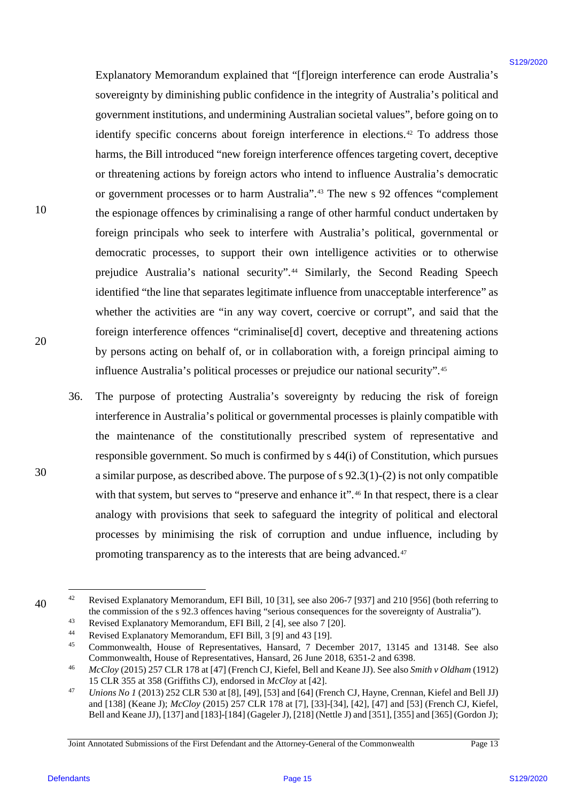Explanatory Memorandum explained that "[f]oreign interference can erode Australia's Explanatory Memorandum explained that "[floreign interference can erode Australia's sovereignty by diminishing public confidence in the integrity of Australia's political and sovereignty by diminishing public confidence in the integrity of Australia's political and government institutions, and undermining Australian societal values", before going on to government institutions, and undermining Australian societal values", before going on to identify specific concerns about foreign interference in elections.<sup>[42](#page-14-0)</sup> To address those harms, the Bill introduced "new foreign interference offences targeting covert, deceptive harms, the Bill introduced "new foreign interference offences targeting covert, deceptive or threatening actions by foreign actors who intend to influence Australia's democratic or government processes or to harm Australia".<sup>[43](#page-14-1)</sup> The new s 92 offences "complement the espionage offences by criminalising a range of other harmful conduct undertaken by the espionage offences by criminalising a range of other harmful conduct undertaken by foreign principals who seek to interfere with Australia's political, governmental or foreign principals who seek to interfere with Australia's political, governmental or democratic processes, to support their own intelligence activities or to otherwise democratic processes, to support their own intelligence activities or to otherwise prejudice Australia's national security".<sup>[44](#page-14-2)</sup> Similarly, the Second Reading Speech identified "the line that separates legitimate influence from unacceptable interference" as identified "the line that separates legitimate influence from unacceptable interference" as whether the activities are "in any way covert, coercive or corrupt", and said that the whether the activities are "in any way covert, coercive or corrupt", and said that the foreign interference offences "criminalise[d] covert, deceptive and threatening actions foreign interference offences "criminalise[d] covert, deceptive and threatening actions by persons acting on behalf of, or in collaboration with, a foreign principal aiming to by persons acting on behalf of, or in collaboration with, a foreign principal aiming to influence Australia's political processes or prejudice our national security".<sup>[45](#page-14-3)</sup> Baytimatatoy Menomahan explained that  $T$ [foreign interference can ende Australia's<br> *are received* by divinishing perbidic confidence in the largerity of Australia's pointerior<br> *g* poeterness issuite, concerns about for

36. The purpose of protecting Australia's sovereignty by reducing the risk of foreign The purpose of protecting Australia's sovereignty by reducing the risk of foreign interference in Australia's political or governmental processes is plainly compatible with interference in Australia's political or governmental processes is plainly compatible with the maintenance of the constitutionally prescribed system of representative and the maintenance of the constitutionally prescribed system of representative and responsible government. So much is confirmed by s 44(i) of Constitution, which pursues responsible government. So much is confirmed by <sup>s</sup> 44(i) of Constitution, which pursues a similar purpose, as described above. The purpose of s 92.3(1)-(2) is not only compatible <sup>a</sup> similar purpose, as described above. The purpose of <sup>s</sup> 92.3(1)-(2) is not only compatible with that system, but serves to "preserve and enhance it".<sup>[46](#page-14-4)</sup> In that respect, there is a clear analogy with provisions that seek to safeguard the integrity of political and electoral analogy with provisions that seek to safeguard the integrity of political and electoral processes by minimising the risk of corruption and undue influence, including by processes by minimising the risk of corruption and undue influence, including by promoting transparency as to the interests that are being advanced.<sup>[47](#page-14-5)</sup> 36.

30 30

10 10

<span id="page-14-3"></span><span id="page-14-2"></span><span id="page-14-1"></span><span id="page-14-0"></span><sup>40</sup> 40

Revised Explanatory Memorandum, EFI Bill, 10 [31], see also 206-7 [937] and 210 [956] (both referring to **Revised** Explanatory Memorandum, EFI Bill, 10 [31], see also 206-7 [937] and 210 [956] (both referring to the commission of the s 92.3 offences having "serious consequences for the sovereignty of Australia").<br><sup>43</sup> Revised Explanatory Memorandum, EFI Bill, 2 [4], see also 7 [20]. 42 43

Revised Explanatory Memorandum, EFI Bill, 2 [4], see also 7 [20].

<sup>44</sup> Revised Explanatory Memorandum, EFI Bill, <sup>3</sup> [9] and 43 [19].

<sup>&</sup>lt;sup>44</sup> Revised Explanatory Memorandum, EFI Bill, 3 [9] and 43 [19].<br><sup>45</sup> Commonwealth, House of Representatives, Hansard, 7 December 2017, 13145 and 13148. See also Commonwealth, House of Representatives, Hansard, 26 June 2018, 6351-2 and 6398.<br>And *McCloy* (2015) 257 CLR 178 at [47] (French CJ, Kiefel, Bell and Keane JJ). See also *Smith v Oldham* (1912) 45 Commonwealth, House of Representatives, Hansard, 26 June 2018, 6351-2 and 6398.

<span id="page-14-4"></span><sup>15</sup> CLR 355 at 358 (Griffiths CJ), endorsed in *McCloy* at [42]. <sup>15</sup> CLR 355 at 358 (Griffiths CJ), endorsed in McCloy at [42]. 46

<span id="page-14-5"></span><sup>47</sup> *Unions No 1* (2013) 252 CLR 530 at [8], [49], [53] and [64] (French CJ, Hayne, Crennan, Kiefel and Bell JJ) Unions No I (2013) 252 CLR 530 at [8], [49], [53] and [64] (French CJ, Hayne, Crennan, Kiefel and Bell JJ) and [138] (Keane J); *McCloy* (2015) 257 CLR 178 at [7], [33]-[34], [42], [47] and [53] (French CJ, Kiefel, Bell and Keane JJ), [137] and [183]-[184] (Gageler J), [218] (Nettle J) and [351], [355] and [365] (Gordon J); 47

Joint Annotated Submissions of the First Defendant and the Attorney-General of the Commonwealth Page 13 Joint Annotated Submissions of the First Defendant and the Attorney-General ofthe Commonwealth Page <sup>13</sup>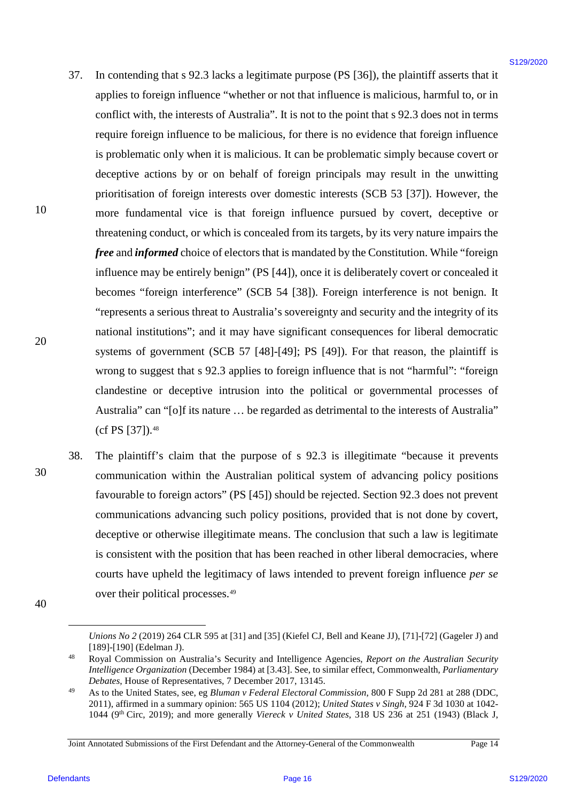- 37. In contending that s 92.3 lacks a legitimate purpose (PS [36]), the plaintiff asserts that it In contending that <sup>s</sup> 92.3 lacks <sup>a</sup> legitimate purpose (PS [36]), the plaintiff asserts that it applies to foreign influence "whether or not that influence is malicious, harmful to, or in applies to foreign influence "whether or not that influence is malicious, harmful to, or in conflict with, the interests of Australia". It is not to the point that s 92.3 does not in terms conflict with, the interests of Australia'. It is not to the point that <sup>s</sup> 92.3 does not in terms require foreign influence to be malicious, for there is no evidence that foreign influence require foreign influence to be malicious, for there is no evidence that foreign influence is problematic only when it is malicious. It can be problematic simply because covert or is problematic only when it is malicious. It can be problematic simply because covert or deceptive actions by or on behalf of foreign principals may result in the unwitting deceptive actions by or on behalf of foreign principals may result in the unwitting prioritisation of foreign interests over domestic interests (SCB 53 [37]). However, the prioritisation of foreign interests over domestic interests (SCB 53 [37]). However, the more fundamental vice is that foreign influence pursued by covert, deceptive or more fundamental vice is that foreign influence pursued by covert, deceptive or threatening conduct, or which is concealed from its targets, by its very nature impairs the threatening conduct, or which is concealed from its targets, by its very nature impairs the *free* and *informed* choice of electors that is mandated by the Constitution. While "foreign free and informed choice of electors that is mandated by the Constitution. While "foreign influence may be entirely benign" (PS [44]), once it is deliberately covert or concealed it influence may be entirely benign" (PS [44]), once it is deliberately covert or concealed it becomes "foreign interference" (SCB 54 [38]). Foreign interference is not benign. It becomes "foreign interference" (SCB 54 [38]). Foreign interference is not benign. It "represents a serious threat to Australia's sovereignty and security and the integrity of its "represents <sup>a</sup> serious threat to Australia's sovereignty and security and the integrity of its national institutions"; and it may have significant consequences for liberal democratic national institutions"; and it may have significant consequences for liberal democratic systems of government (SCB 57 [48]-[49]; PS [49]). For that reason, the plaintiff is systems of government (SCB 57 [48]-[49]; PS [49]). For that reason, the plaintiff is wrong to suggest that s 92.3 applies to foreign influence that is not "harmful": "foreign wrong to suggest that <sup>s</sup> 92.3 applies to foreign influence that is not "harmful": "foreign clandestine or deceptive intrusion into the political or governmental processes of clandestine or deceptive intrusion into the political or governmental processes of Australia" can "[o]f its nature … be regarded as detrimental to the interests of Australia" Australia" can "[o]f its nature ... be regarded as detrimental to the interests of Australia" (cf PS [37]).<sup>48</sup> 37. In contending that s 92.4 hacks a logitimate purpose (1% [36)), the plainiff assets that in applies to foreign influences "show that the methods of the influence is multidiversified to methods the methods of the inter 37.
	- 38. The plaintiff's claim that the purpose of s 92.3 is illegitimate "because it prevents The plaintiff's claim that the purpose of <sup>s</sup> 92.3 is illegitimate "because it prevents communication within the Australian political system of advancing policy positions communication within the Australian political system of advancing policy positions favourable to foreign actors" (PS [45]) should be rejected. Section 92.3 does not prevent favourable to foreign actors" (PS [45]) should be rejected. Section 92.3 does not prevent communications advancing such policy positions, provided that is not done by covert, deceptive or otherwise illegitimate means. The conclusion that such a law is legitimate deceptive or otherwise illegitimate means. The conclusion that such a law is legitimate is consistent with the position that has been reached in other liberal democracies, where is consistent with the position that has been reached in other liberal democracies, where courts have upheld the legitimacy of laws intended to prevent foreign influence *per se*  courts have upheld the legitimacy of laws intended to prevent foreign influence per se over their political processes.<sup>[49](#page-15-1)</sup> 38.

10 10

20 20

30 30

<u>.</u>

<span id="page-15-0"></span><sup>40</sup> 40

*Unions No 2* (2019) 264 CLR 595 at [31] and [35] (Kiefel CJ, Bell and Keane JJ), [71]-[72] (Gageler J) and Unions No 2 (2019) 264 CLR 595 at [31] and [35] (Kiefel CJ, Bell and Keane JJ), [71]-[72] (Gageler J) and [189]-[190] (Edelman J).

<sup>48</sup> Royal Commission on Australia's Security and Intelligence Agencies, *Report on the Australian Security*  Royal Commission on Australia's Security and Intelligence Agencies, Report on the Australian Security *Intelligence Organization* (December 1984) at [3.43]. See, to similar effect, Commonwealth, *Parliamentary*  Intelligence Organization (December 1984) at [3.43]. See, to similar effect, Commonwealth, Parliamentary *Debates*, House of Representatives, 7 December 2017, 13145. Debates, House of Representatives, 7 December 2017, 13145. 48

<span id="page-15-1"></span><sup>49</sup> As to the United States, see, eg *Bluman v Federal Electoral Commission*, 800 F Supp 2d 281 at 288 (DDC, As to the United States, see, eg Bluman v Federal Electoral Commission, 800 F Supp 2d 281 at 288 (DDC, 2011), affirmed in a summary opinion: 565 US 1104 (2012); *United States v Singh*, 924 F 3d 1030 at 1042- 2011), affirmed in a summary opinion: 565 US 1104 (2012); United States v Singh,924 F 3d 1030 at 1042- 1044 (9<sup>th</sup> Circ, 2019); and more generally Viereck v United States, 318 US 236 at 251 (1943) (Black J, 49

Joint Annotated Submissions of the First Defendant and the Attorney-General of the Commonwealth Page 14 Joint Annotated Submissions of the First Defendant and the Attorney-General ofthe Commonwealth Page <sup>14</sup>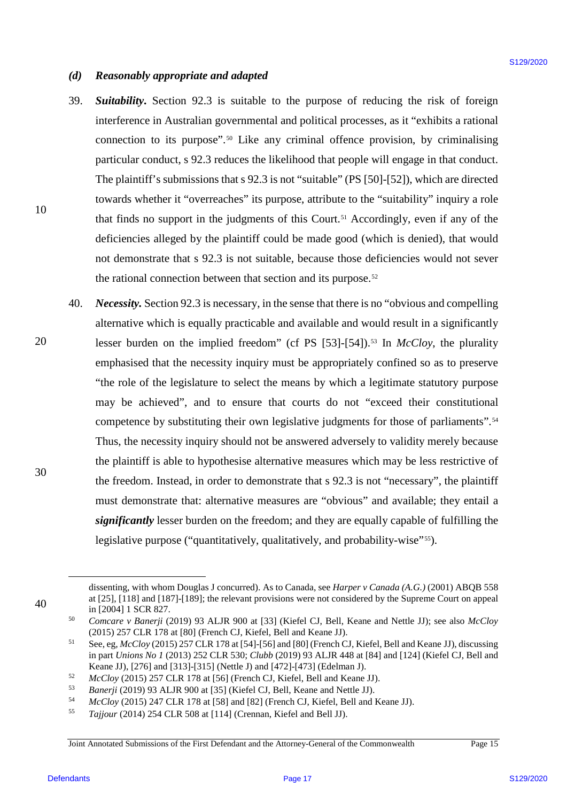### *(d) Reasonably appropriate and adapted* Reasonably appropriate and adapted  $(d)$

- 39. *Suitability***.** Section 92.3 is suitable to the purpose of reducing the risk of foreign Suitability. Section 92.3 is suitable to the purpose of reducing the risk of foreign interference in Australian governmental and political processes, as it "exhibits a rational interference in Australian governmental and political processes, as it "exhibits a rational connection to its purpose".<sup>[50](#page-16-0)</sup> Like any criminal offence provision, by criminalising particular conduct, s 92.3 reduces the likelihood that people will engage in that conduct. particular conduct, <sup>s</sup> 92.3 reduces the likelihood that people will engage in that conduct. The plaintiff's submissions that s 92.3 is not "suitable" (PS [50]-[52]), which are directed towards whether it "overreaches" its purpose, attribute to the "suitability" inquiry a role towards whether it "overreaches" its purpose, attribute to the "suitability" inquiry a role that finds no support in the judgments of this Court.<sup>[51](#page-16-1)</sup> Accordingly, even if any of the deficiencies alleged by the plaintiff could be made good (which is denied), that would deficiencies alleged by the plaintiff could be made good (which is denied), that would not demonstrate that s 92.3 is not suitable, because those deficiencies would not sever not demonstrate that <sup>s</sup> 92.3 is not suitable, because those deficiencies would not sever the rational connection between that section and its purpose.<sup>[52](#page-16-2)</sup> 39.
- 40. *Necessity.* Section 92.3 is necessary, in the sense that there is no "obvious and compelling Necessity. Section 92.3 is necessary, in the sense that there is no "obvious and compelling alternative which is equally practicable and available and would result in a significantly alternative which is equally practicable and available and would result in <sup>a</sup> significantly lesser burden on the implied freedom" (cf PS [[53](#page-16-3)]-[54]).<sup>53</sup> In *McCloy*, the plurality emphasised that the necessity inquiry must be appropriately confined so as to preserve emphasised that the necessity inquiry must be appropriately confined so as to preserve "the role of the legislature to select the means by which a legitimate statutory purpose "the role of the legislature to select the means by which <sup>a</sup> legitimate statutory purpose may be achieved", and to ensure that courts do not "exceed their constitutional may be achieved", and to ensure that courts do not "exceed their constitutional competence by substituting their own legislative judgments for those of parliaments[".](#page-16-4)<sup>54</sup> Thus, the necessity inquiry should not be answered adversely to validity merely because Thus, the necessity inquiry should not be answered adversely to validity merely because the plaintiff is able to hypothesise alternative measures which may be less restrictive of the plaintiff is able to hypothesise alternative measures which may be less restrictive of the freedom. Instead, in order to demonstrate that s 92.3 is not "necessary", the plaintiff the freedom. Instead, in order to demonstrate that <sup>s</sup> 92.3 is not "necessary", the plaintiff must demonstrate that: alternative measures are "obvious" and available; they entail a must demonstrate that: alternative measures are "obvious" and available; they entail <sup>a</sup> significantly lesser burden on the freedom; and they are equally capable of fulfilling the legislative purpose ("quantitatively, qualitatively, and probability-wise"<sup>[55](#page-16-5)</sup>). (d) Rotasmably oppropriate and adopted<br>
39. Nationality, Newton 9.22, is satisfied to the purpose of variating the risk of Bertal information<br>
interference in Australian generalization and political processes, as it "esta 40.

<span id="page-16-1"></span><span id="page-16-0"></span>40 40

<u>.</u>

30 30

10 10

20 20

<span id="page-16-3"></span><sup>53</sup> *Banerji* (2019) 93 ALJR 900 at [35] (Kiefel CJ, Bell, Keane and Nettle JJ). 53

Joint Annotated Submissions of the First Defendant and the Attorney-General of the Commonwealth Page 15 Joint Annotated Submissions of the First Defendant and the Attorney-General ofthe Commonwealth Page 15

dissenting, with whom Douglas J concurred). As to Canada, see *Harper v Canada (A.G.)* (2001) ABQB 558 dissenting, with whom Douglas <sup>J</sup> concurred). As to Canada, see Harper v Canada (A.G.) (2001) ABQB 558 at [25], [118] and [187]-[189]; the relevant provisions were not considered by the Supreme Court on appeal at [25], [118] and [187]-[189]; the relevant provisions were not considered by the Supreme Court on appeal in [2004] 1 SCR 827.

<sup>50</sup> *Comcare v Banerji* (2019) 93 ALJR 900 at [33] (Kiefel CJ, Bell, Keane and Nettle JJ); see also *McCloy* Comcare v Banerji (2019) 93 ALJR 900 at [33] (Kiefel CJ, Bell, Keane and Nettle JJ); see also McCloy (2015) 257 CLR 178 at [80] (French CJ, Kiefel, Bell and Keane JJ). (2015) 257 CLR 178 at [80] (French CJ, Kiefel, Bell and Keane JJ). 50

<sup>51</sup> See, eg,  $McCloy$  (2015) 257 CLR 178 at [54]-[56] and [80] (French CJ, Kiefel, Bell and Keane JJ), discussing in part *Unions No 1* (2013) 252 CLR 530; *Clubb* (2019) 93 ALJR 448 at [84] and [124] (Kiefel CJ, Bell and in part Unions No I (2013) 252 CLR 530; Clubb (2019) 93 ALJR 448 at [84] and [124] (Kiefel CJ, Bell and Sl Keane JJ), [276] and [313]-[315] (Nettle J) and [472]-[473] (Edelman J).

<span id="page-16-2"></span>Keane JJ), [276] and [313]-[315] (Nettle J) and [472]-[473] (Edelman J).<br><sup>52</sup> *McCloy* (2015) 257 CLR 178 at [56] (French CJ, Kiefel, Bell and Keane JJ). 52

<span id="page-16-4"></span><sup>&</sup>lt;sup>54</sup> *McCloy* (2015) 247 CLR 178 at [58] and [82] (French CJ, Kiefel, Bell and Keane JJ).<br><sup>55</sup> *Tajjour* (2014) 254 CLR 508 at [114] (Crennan, Kiefel and Bell JJ). 54

<span id="page-16-5"></span><sup>55</sup> Tajjour (2014) 254 CLR 508 at [114] (Crennan, Kiefel and Bell JJ).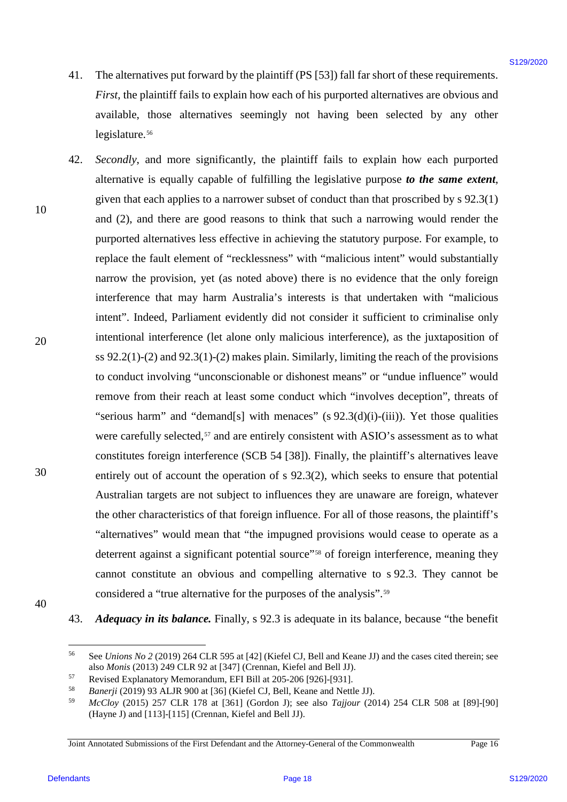- 41. The alternatives put forward by the plaintiff (PS [53]) fall far short of these requirements. The alternatives put forward by the plaintiff (PS [53]) fall far short ofthese requirements. *First*, the plaintiff fails to explain how each of his purported alternatives are obvious and First, the plaintiff fails to explain how each of his purported alternatives are obvious and available, those alternatives seemingly not having been selected by any other available, those alternatives seemingly not having been selected by any other legislature.<sup>[56](#page-17-0)</sup> 41.
- 42. *Secondly*, and more significantly, the plaintiff fails to explain how each purported Secondly, and more significantly, the plaintiff fails to explain how each purported alternative is equally capable of fulfilling the legislative purpose *to the same extent*, alternative is equally capable of fulfilling the legislative purpose to the same extent,given that each applies to a narrower subset of conduct than that proscribed by s 92.3(1) given that each applies to a narrower subset of conduct than that proscribed by <sup>s</sup> 92.3(1) and (2), and there are good reasons to think that such a narrowing would render the purported alternatives less effective in achieving the statutory purpose. For example, to purported alternatives less effective in achieving the statutory purpose. For example, to replace the fault element of "recklessness" with "malicious intent" would substantially replace the fault element of "recklessness" with "malicious intent" would substantially narrow the provision, yet (as noted above) there is no evidence that the only foreign narrow the provision, yet (as noted above) there is no evidence that the only foreign interference that may harm Australia's interests is that undertaken with "malicious interference that may harm Australia's interests is that undertaken with "malicious intent". Indeed, Parliament evidently did not consider it sufficient to criminalise only intent". Indeed, Parliament evidently did not consider it sufficient to criminalise only intentional interference (let alone only malicious interference), as the juxtaposition of intentional interference (let alone only malicious interference), as the juxtaposition of ss 92.2(1)-(2) and 92.3(1)-(2) makes plain. Similarly, limiting the reach of the provisions ss 92.2(1)-(2) and 92.3(1)-(2) makes plain. Similarly, limiting the reach of the provisions to conduct involving "unconscionable or dishonest means" or "undue influence" would to conduct involving "unconscionable or dishonest means" or "undue influence" would remove from their reach at least some conduct which "involves deception", threats of "serious harm" and "demand[s] with menaces" (s 92.3(d)(i)-(iii)). Yet those qualities were carefully selected,<sup>[57](#page-17-1)</sup> and are entirely consistent with ASIO's assessment as to what constitutes foreign interference (SCB 54 [38]). Finally, the plaintiff's alternatives leave constitutes foreign interference (SCB 54 [38]). Finally, the plaintiff's alternatives leave entirely out of account the operation of  $s$  92.3(2), which seeks to ensure that potential Australian targets are not subject to influences they are unaware are foreign, whatever Australian targets are not subject to influences they are unaware are foreign, whatever the other characteristics of that foreign influence. For all of those reasons, the plaintiff's "alternatives" would mean that "the impugned provisions would cease to operate as a "alternatives" would mean that "the impugned provisions would cease to operate as a deterrent against a significant potential source"<sup>[58](#page-17-2)</sup> of foreign interference, meaning they cannot constitute an obvious and compelling alternative to s 92.3. They cannot be cannot constitute an obvious and compelling alternative to <sup>s</sup> 92.3. They cannot be considered a "true alternative for the purposes of the analysis".<sup>[59](#page-17-3)</sup> 41. The alternains grad forward by the plaintif (185 [33]) fail far short of these requirements.<br> *Prop.* the plaintif finite to replain how each of this purposed inferrally seen and the magnetic interest in evolvies and<br> 42.
- 10 10

20 20

<span id="page-17-0"></span>40 40

43. *Adequacy in its balance.* Finally, s 92.3 is adequate in its balance, because "the benefit Adequacy in its balance. Finally, <sup>s</sup> 92.3 is adequate in its balance, because "the benefit 43.

 <sup>56</sup> See *Unions No 2* (2019) 264 CLR 595 at [42] (Kiefel CJ, Bell and Keane JJ) and the cases cited therein; see See Unions No 2 (2019) 264 CLR 595 at [42] (Kiefel CJ, Bell and Keane JJ) andthe cases cited therein; see 56 also Monis (2013) 249 CLR 92 at [347] (Crennan, Kiefel and Bell JJ).

<span id="page-17-2"></span><sup>57</sup> Revised Explanatory Memorandum, EFI Bill at 205-206 [926]-[93 1].

<span id="page-17-1"></span>also *Monis* (2013) 249 CLR 92 at [347] (Crennan, Kiefel and Bell JJ).<br>
Revised Explanatory Memorandum, EFI Bill at 205-206 [926]-[931].<br> *Banerji* (2019) 93 ALJR 900 at [36] (Kiefel CJ, Bell, Keane and Nettle JJ). 58

<span id="page-17-3"></span><sup>59</sup> *McCloy* (2015) 257 CLR 178 at [361] (Gordon J); see also *Tajjour* (2014) 254 CLR 508 at [89]-[90] McCloy (2015) 257 CLR 178 at [361] (Gordon J); see also Tajjour (2014) 254 CLR 508 at [89]-[90] (Hayne J) and [113]-[115] (Crennan, Kiefel and Bell JJ). (Hayne J) and [113]-[115] (Crennan, Kiefel and Bell JJ). 59

Joint Annotated Submissions of the First Defendant and the Attorney-General of the Commonwealth Page 16 Joint Annotated Submissions of the First Defendant and the Attorney-General ofthe Commonwealth Page <sup>16</sup>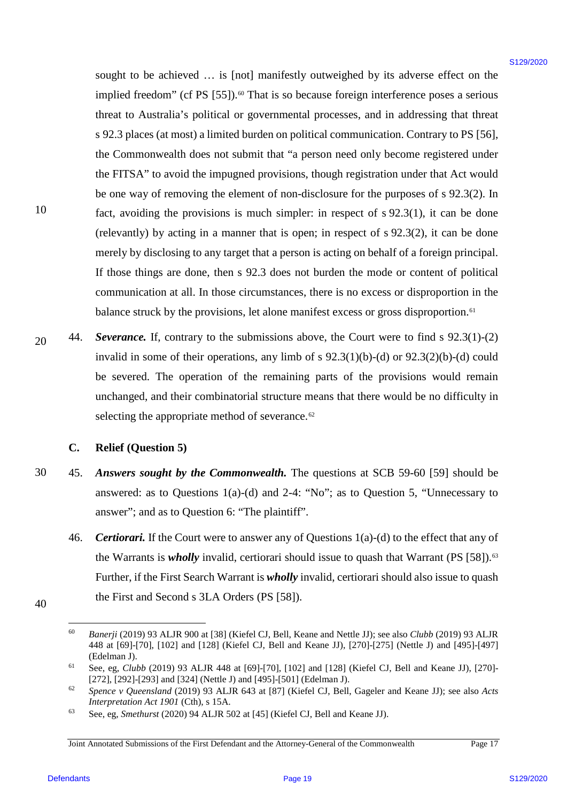sought to be achieved … is [not] manifestly outweighed by its adverse effect on the sought to be achieved ... is [not] manifestly outweighed by its adverse effect on the implied freedom" (cf PS [55]). [60](#page-18-0) That is so because foreign interference poses a serious implied freedom" (cf PS [55]).® That is so because foreign interference poses <sup>a</sup> serious threat to Australia's political or governmental processes, and in addressing that threat threat to Australia's political or governmental processes, and in addressing that threat s 92.3 places (at most) a limited burden on political communication. Contrary to PS [56], <sup>s</sup> 92.3 places (at most) <sup>a</sup> limited burden on political communication. Contrary to PS [56], the Commonwealth does not submit that "a person need only become registered under the Commonwealth does not submit that "a person need only become registered under the FITSA" to avoid the impugned provisions, though registration under that Act would the FITSA" to avoid the impugned provisions, though registration under that Act would be one way of removing the element of non-disclosure for the purposes of s 92.3(2). In be one way of removing the element of non-disclosure for the purposes of <sup>s</sup> 92.3(2). In fact, avoiding the provisions is much simpler: in respect of s 92.3(1), it can be done fact, avoiding the provisions is much simpler: in respect of <sup>s</sup> 92.3(1), it can be done (relevantly) by acting in a manner that is open; in respect of s 92.3(2), it can be done (relevantly) by acting in <sup>a</sup> manner that is open; in respect of <sup>s</sup> 92.3(2), it can be done merely by disclosing to any target that a person is acting on behalf of a foreign principal. merely by disclosing to any target that <sup>a</sup> person is acting on behalf of <sup>a</sup> foreign principal. If those things are done, then s 92.3 does not burden the mode or content of political If those things are done, then <sup>s</sup> 92.3 does not burden the mode or content of political communication at all. In those circumstances, there is no excess or disproportion in the communication at all. In those circumstances, there is no excess or disproportion in the balance struck by the provisions, let alone manifest excess or gross disproportion.<sup>[61](#page-18-1)</sup> single to be actioned ... is [nn] manifestly nationgled by its advanta effect on the<br>tripled by the action (cell SS). That is allowed by the distribution of the<br>page 11 stressor (cell in the stressor of the stressor of th

20 20 44. *Severance.* If, contrary to the submissions above, the Court were to find s 92.3(1)-(2) Severance. If, contrary to the submissions above, the Court were to find <sup>s</sup> 92.3(1)-(2) invalid in some of their operations, any limb of s 92.3(1)(b)-(d) or 92.3(2)(b)-(d) could invalid in some of their operations, any limb of <sup>s</sup> 92.3(1)(b)-(d) or 92.3(2)(b)-(d) could be severed. The operation of the remaining parts of the provisions would remain be severed. The operation of the remaining parts of the provisions would remain unchanged, and their combinatorial structure means that there would be no difficulty in unchanged, and their combinatorial structure means that there would be no difficulty in selecting the appropriate method of severance.<sup>[62](#page-18-2)</sup> 44,

# **C. Relief (Question 5)** Relief (Question 5)

- 30 30 45. *Answers sought by the Commonwealth.* The questions at SCB 59-60 [59] should be Answers sought by the Commonwealth. The questions at SCB 59-60 [59] should be answered: as to Questions  $1(a)-(d)$  and  $2-4$ : "No"; as to Question 5, "Unnecessary to answer"; and as to Question 6: "The plaintiff". answer'; and as to Question 6: "The plaintiff'. 45.
	- 46. **Certiorari.** If the Court were to answer any of Questions  $1(a)$ -(d) to the effect that any of the Warrants is *wholly* invalid, certiorari should issue to quash that Warrant (PS [58]).<sup>[63](#page-18-3)</sup> Further, if the First Search Warrant is *wholly* invalid, certiorari should also issue to quash the First and Second s 3LA Orders (PS [58]). the First and Second <sup>s</sup> 3LA Orders (PS [58]). 46.
- <span id="page-18-0"></span>40 40

Banerji (2019) 93 ALJR 900 at [38] (Kiefel CJ, Bell, Keane and Nettle JJ); see also *Clubb* (2019) 93 ALJR 448 at [69]-[70], [102] and [128] (Kiefel CJ, Bell and Keane JJ), [270]-[275] (Nettle J) and [495]-[497] 448 at [69]-[70], [102] and [128] (Kiefel CJ, Bell and Keane JJ), [270]-[275] (Nettle J) and [495]-[497] (Edelman J). (Edelman J). 60

<span id="page-18-1"></span><sup>61</sup> See, eg, *Clubb* (2019) 93 ALJR 448 at [69]-[70], [102] and [128] (Kiefel CJ, Bell and Keane JJ), [270]- See, eg, Clubb (2019) 93 ALJR 448 at [69]-[70], [102] and [128] (Kiefel CJ, Bell and Keane JJ), [270]- [272], [292]-[293] and [324] (Nettle J) and [495]-[501] (Edelman J). 61

<span id="page-18-2"></span><sup>62</sup> *Spence v Queensland* (2019) 93 ALJR 643 at [87] (Kiefel CJ, Bell, Gageler and Keane JJ); see also *Acts*  Spence v Queensland (2019) 93 ALJR 643 at [87] (Kiefel CJ, Bell, Gageler and Keane JJ); see also Acts *Interpretation Act 1901* (Cth), s 15A. 62

<span id="page-18-3"></span><sup>63</sup> See, eg, *Smethurst* (2020) 94 ALJR 502 at [45] (Kiefel CJ, Bell and Keane JJ). See, eg, Smethurst (2020) 94 ALJR 502 at [45] (Kiefel CJ, Bell and Keane JJ). 63

Joint Annotated Submissions of the First Defendant and the Attorney-General of the Commonwealth Page 17 Joint Annotated Submissions of the First Defendant and the Attorney-General ofthe Commonwealth Page 17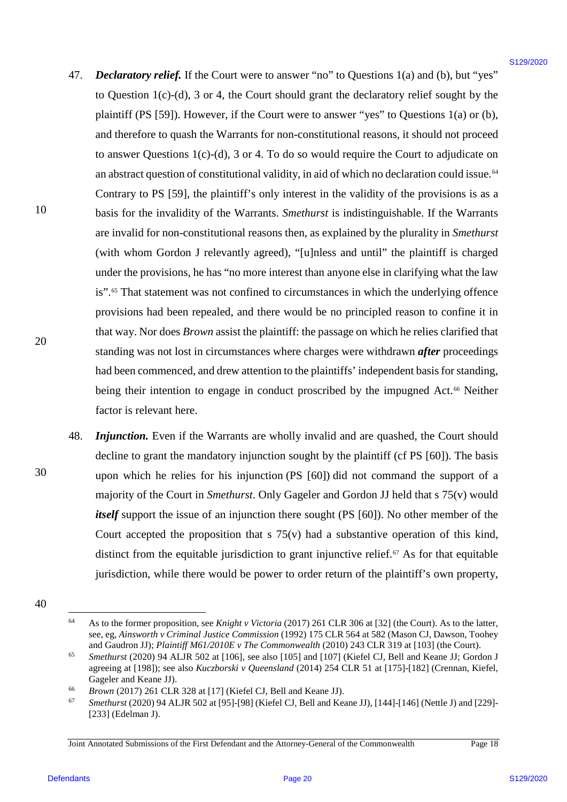- <span id="page-19-0"></span>47. *Declaratory relief.* If the Court were to answer "no" to Questions 1(a) and (b), but "yes" to Question 1(c)-(d), 3 or 4, the Court should grant the declaratory relief sought by the to Question 1(c)-(d), <sup>3</sup> or 4, the Court should grant the declaratory relief sought by the plaintiff (PS [59]). However, if the Court were to answer "yes" to Questions 1(a) or (b), and therefore to quash the Warrants for non-constitutional reasons, it should not proceed and therefore to quash the Warrants for non-constitutional reasons, it should not proceed to answer Questions  $1(c)-(d)$ , 3 or 4. To do so would require the Court to adjudicate on an abstract question of constitutional validity, in aid of which no declaration could issue.<sup>[64](#page-19-1)</sup> Contrary to PS [59], the plaintiff's only interest in the validity of the provisions is as a Contrary to PS [59], the plaintiff's only interest in the validity of the provisions is as <sup>a</sup> basis for the invalidity of the Warrants. Smethurst is indistinguishable. If the Warrants are invalid for non-constitutional reasons then, as explained by the plurality in *Smethurst*  are invalid for non-constitutional reasons then, as explained by the plurality in Smethurst (with whom Gordon J relevantly agreed), "[u]nless and until" the plaintiff is charged (with whom Gordon <sup>J</sup> relevantly agreed), "[u]nless and until" the plaintiff is charged under the provisions, he has "no more interest than anyone else in clarifying what the law under the provisions, he has "no more interest than anyone else in clarifying what the law is".<sup>[65](#page-19-2)</sup> That statement was not confined to circumstances in which the underlying offence provisions had been repealed, and there would be no principled reason to confine it in provisions had been repealed, and there would be no principled reason to confine it in that way. Nor does *Brown* assist the plaintiff: the passage on which he relies clarified that standing was not lost in circumstances where charges were withdrawn *after* proceedings standing was not lost in circumstances where charges were withdrawn after proceedings had been commenced, and drew attention to the plaintiffs' independent basis for standing, being their intention to engage in conduct proscribed by the impugned Act.<sup>[66](#page-19-3)</sup> Neither factor is relevant here. factor is relevant here. 47. Declarationy relief; If the Court were to answer "no" to Questions 1(a) and (b), but "yes"<br>
to Question 1(c)(30), 3 or 4, 4) Contrabod grants de declaratory relief structure<br>plannif (18) [39]. However, if the Court we 47.
	- 48. *Injunction*. Even if the Warrants are wholly invalid and are quashed, the Court should decline to grant the mandatory injunction sought by the plaintiff (cf PS [60]). The basis decline to grant the mandatory injunction sought by the plaintiff (cf PS [60]). The basis upon which he relies for his injunction (PS [60]) did not command the support of a upon which he relies for his injunction (PS [60]) did not command the support of <sup>a</sup> majority of the Court in *Smethurst*. Only Gageler and Gordon JJ held that s 75(v) would majority of the Court in Smethurst. Only Gageler and Gordon JJ held that <sup>s</sup> 75(v) would *itself* support the issue of an injunction there sought (PS [60]). No other member of the Court accepted the proposition that s 75(v) had a substantive operation of this kind, Court accepted the proposition that <sup>s</sup> 75(v) had a substantive operation of this kind, distinct from the equitable jurisdiction to grant injunctive relief. $67$  As for that equitable jurisdiction, while there would be power to order return of the plaintiff's own property, jurisdiction, while there would be power to order return of the plaintiff's own property, 48.

10 10

20 20

<span id="page-19-2"></span><span id="page-19-1"></span><sup>40</sup> 40

 $\frac{64}{100}$  As to the former proposition, see *Knight v Victoria* (2017) 261 CLR 306 at [32] (the Court). As to the latter, see, eg, *Ainsworth v Criminal Justice Commission* (1992) 175 CLR 564 at 582 (Mason CJ, Dawson, Toohey see, eg, Ainsworth v Criminal Justice Commission (1992) 175 CLR 564 at 582 (Mason CJ, Dawson, Toohey and Gaudron JJ); *Plaintiff M61/2010E v The Commonwealth* (2010) 243 CLR 319 at [103] (the Court). 64

<sup>65</sup> *Smethurst* (2020) 94 ALJR 502 at [106], see also [105] and [107] (Kiefel CJ, Bell and Keane JJ; Gordon J Smethurst (2020) 94 ALJR 502 at [106], see also [105] and [107] (Kiefel CJ, Bell and Keane JJ; Gordon <sup>J</sup> agreeing at [198]); see also *Kuczborski v Queensland* (2014) 254 CLR 51 at [175]-[182] (Crennan, Kiefel, 65 Gageler and Keane JJ).

<span id="page-19-3"></span>Gageler and Keane JJ).<br><sup>66</sup> *Brown* (2017) 261 CLR 328 at [17] (Kiefel CJ, Bell and Keane JJ). 66

<span id="page-19-4"></span> $^{67}$  Smethurst (2020) 94 ALJR 502 at [95]-[98] (Kiefel CJ, Bell and Keane JJ), [144]-[146] (Nettle J) and [229]-[233] (Edelman J). [233] (Edelman J). 67

Joint Annotated Submissions of the First Defendant and the Attorney-General of the Commonwealth Page 18 Joint Annotated Submissions of the First Defendant and the Attorney-General ofthe Commonwealth Page 18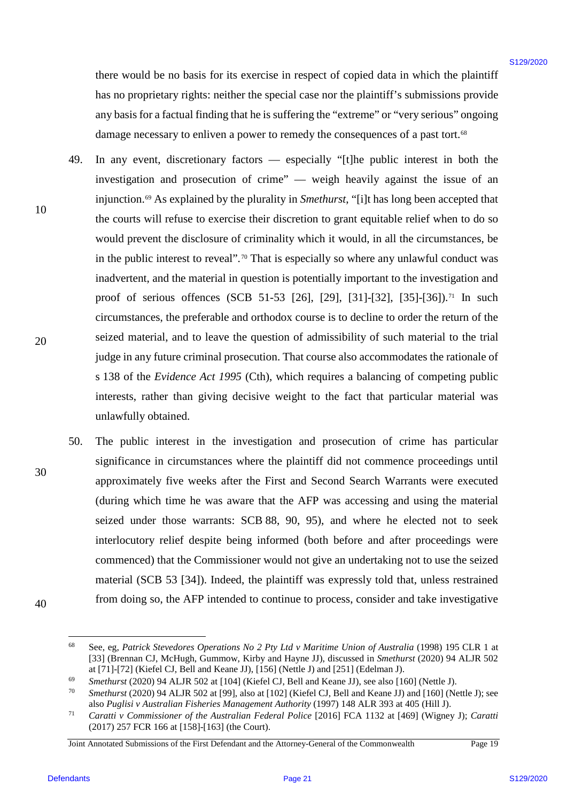there would be no basis for its exercise in respect of copied data in which the plaintiff there would be no basis for its exercise in respect of copied data in which the plaintiff has no proprietary rights: neither the special case nor the plaintiff's submissions provide has no proprietary rights: neither the special case nor the plaintiff's submissions provide any basis for a factual finding that he is suffering the "extreme" or "very serious" ongoing any basis for a factual finding that he is suffering the "extreme" or "very serious" ongoing damage necessary to enliven a power to remedy the consequences of a past tort.<sup>[68](#page-20-0)</sup>

- 49. In any event, discretionary factors especially "[t]he public interest in both the In any event, discretionary factors especially "[t]he public interest in both the investigation and prosecution of crime" — weigh heavily against the issue of an investigation and prosecution of crime" — weigh heavily against the issue of an injunction.<sup>[69](#page-20-1)</sup> As explained by the plurality in *Smethurst*, "[i]t has long been accepted that the courts will refuse to exercise their discretion to grant equitable relief when to do so the courts will refuse to exercise their discretion to grant equitable relief when to do so would prevent the disclosure of criminality which it would, in all the circumstances, be would prevent the disclosure of criminality which it would, in all the circumstances, be in the public interest to reveal".<sup>[70](#page-20-2)</sup> That is especially so where any unlawful conduct was inadvertent, and the material in question is potentially important to the investigation and inadvertent, and the material in question is potentially important to the investigation and proof of serious offences (SCB 51-53 [26], [29], [31]-[32], [35]-[36]).[71](#page-20-3) In such proof of serious offences (SCB 51-53 [26], [29], [31]-[32], [35]-[36])."1 In such circumstances, the preferable and orthodox course is to decline to order the return of the circumstances, the preferable and orthodox course is to decline to order the return of the seized material, and to leave the question of admissibility of such material to the trial seized material, and to leave the question of admissibility of such material to the trial judge in any future criminal prosecution. That course also accommodates the rationale of judge in any future criminal prosecution. That course also accommodates the rationale of s 138 of the *Evidence Act 1995* (Cth), which requires a balancing of competing public interests, rather than giving decisive weight to the fact that particular material was interests, rather than giving decisive weight to the fact that particular material was unlawfully obtained. unlawfully obtained. there would be no basis for its searches in respect of cognish dia in which the plaininf?<br>
has no propries control in the searches the scalifier of the pediation of the searches provides a power to reached the searches pr 49.
	- 50. The public interest in the investigation and prosecution of crime has particular The public interest in the investigation and prosecution of crime has particular significance in circumstances where the plaintiff did not commence proceedings until significance in circumstances where the plaintiff did not commence proceedings until approximately five weeks after the First and Second Search Warrants were executed approximately five weeks after the First and Second Search Warrants were executed (during which time he was aware that the AFP was accessing and using the material (during which time he was aware that the AFP was accessing and using the material seized under those warrants: SCB 88, 90, 95), and where he elected not to seek seized under those warrants: SCB 88, 90, 95), and where he elected not to seek interlocutory relief despite being informed (both before and after proceedings were interlocutory relief despite being informed (both before and after proceedings were commenced) that the Commissioner would not give an undertaking not to use the seized commenced) that the Commissioner would not give an undertaking not to use the seized material (SCB 53 [34]). Indeed, the plaintiff was expressly told that, unless restrained material (SCB 53 [34]). Indeed, the plaintiff was expressly told that, unless restrained from doing so, the AFP intended to continue to process, consider and take investigative from doing so, the AFP intended to continue to process, consider and take investigative 50.

<span id="page-20-0"></span>40 40

 <sup>68</sup> See, eg, *Patrick Stevedores Operations No 2 Pty Ltd v Maritime Union of Australia* (1998) 195 CLR 1 at See, eg, Patrick Stevedores Operations No 2 Pty Ltd v Maritime Union of Australia (1998) <sup>195</sup> CLR | at [33] (Brennan CJ, McHugh, Gummow, Kirby and Hayne JJ), discussed in *Smethurst* (2020) 94 ALJR 502 [33] (Brennan CJ, McHugh, Gummow, Kirby and Hayne JJ), discussed in Smethurst (2020) 94 ALJR 502 at [71]-[72] (Kiefel CJ, Bell and Keane JJ), [156] (Nettle J) and [251] (Edelman J). 68

<sup>&</sup>lt;sup>69</sup> *Smethurst* (2020) 94 ALJR 502 at [104] (Kiefel CJ, Bell and Keane JJ), see also [160] (Nettle J). 69

<span id="page-20-2"></span><span id="page-20-1"></span><sup>&</sup>lt;sup>70</sup> Smethurst (2020) 94 ALJR 502 at [99], also at [102] (Kiefel CJ, Bell and Keane JJ) and [160] (Nettle J); see also Puglisi v Australian Fisheries Management Authority (1997) 148 ALR 393 at 405 (Hill J). 70

<span id="page-20-3"></span><sup>71</sup> *Caratti v Commissioner of the Australian Federal Police* [2016] FCA 1132 at [469] (Wigney J); *Caratti* Caratti v Commissioner of the Australian Federal Police [2016] FCA 1132 at [469] (Wigney J); Caratti (2017) 257 FCR 166 at [158]-[163] (the Court). (2017) 257 FCR 166 at [158]-[163] (the Court). 71

Joint Annotated Submissions of the First Defendant and the Attorney-General of the Commonwealth Page 19 Joint Annotated Submissions of the First Defendant and the Attorney-General ofthe Commonwealth Page 19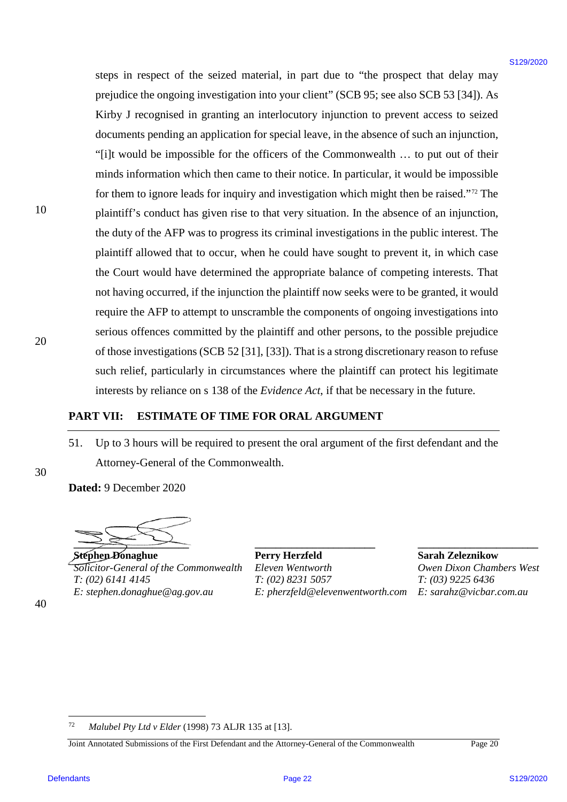steps in respect of the seized material, in part due to "the prospect that delay may steps in respect of the seized material, in part due to "the prospect that delay may prejudice the ongoing investigation into your client" (SCB 95; see also SCB 53 [34]). As prejudice the ongoing investigation into your client" (SCB 95; see also SCB 53 [34]). As Kirby J recognised in granting an interlocutory injunction to prevent access to seized Kirby <sup>J</sup> recognised in granting an interlocutory injunction to prevent access to seized documents pending an application for special leave, in the absence of such an injunction, documents pending an application for special leave, in the absence of such an injunction, "[i]t would be impossible for the officers of the Commonwealth ... to put out of their minds information which then came to their notice. In particular, it would be impossible minds information which then came to their notice. In particular, it would be impossible for them to ignore leads for inquiry and investigation which might then be raised."<sup>[72](#page-21-0)</sup> The plaintiff's conduct has given rise to that very situation. In the absence of an injunction, plaintiff's conduct has given rise to that very situation. In the absence of an injunction, the duty of the AFP was to progress its criminal investigations in the public interest. The the duty of the AFP was to progress its criminal investigations in the public interest. The plaintiff allowed that to occur, when he could have sought to prevent it, in which case plaintiff allowed that to occur, when he could have sought to prevent it, in which case the Court would have determined the appropriate balance of competing interests. That the Court would have determined the appropriate balance of competing interests. That not having occurred, if the injunction the plaintiff now seeks were to be granted, it would require the AFP to attempt to unscramble the components of ongoing investigations into serious offences committed by the plaintiff and other persons, to the possible prejudice serious offences committed by the plaintiff and other persons, to the possible prejudice of those investigations (SCB 52 [31], [33]). That is a strong discretionary reason to refuse such relief, particularly in circumstances where the plaintiff can protect his legitimate interests by reliance on s 138 of the *Evidence Act*, if that be necessary in the future. interests by reliance on <sup>s</sup> <sup>138</sup> of the Evidence Act, ifthat be necessary in the future. staps in respect of the seized material in put that to "the prospect that delay may produce the equipper but the product there is GCP S5 series of 85 CP S121. A documentation in the series of 820.5 CP S129/2020 S129/2020

# **PART VII: ESTIMATE OF TIME FOR ORAL ARGUMENT** PART VI: ESTIMATE OF TIME FOR ORAL ARGUMENT

51. Up to 3 hours will be required to present the oral argument of the first defendant and the 51. Up to <sup>3</sup> hours will be required to present the oral argument of the first defendant and the Attorney-General of the Commonwealth.

**Dated:** 9 December 2020 Dated: 9 December 2020

**\_\_\_\_\_\_\_\_\_\_\_\_\_\_\_\_\_\_\_\_\_\_**

**Stephen Donaghue Perry Herzfeld Sarah Zeleznikow Solicitor-General of the Commonwealth** Eleven Wentworth **Commonwealth** Owen Dixon Chambers West *T: (02) 6141 4145 E: stephen.donaghue@ag.gov.au T: (02) 8231 5057* T: (02) 6141 4145 T: (02) 8231 5057 T: (03) 9225 6436 E: stephen.donaghue@ag.gov.au E: pherzfeld@elevenwentworth.com E: sarahz@vicbar.com.au

**Perry Herzfeld**  *Eleven Wentworth*

**\_\_\_\_\_\_\_\_\_\_\_\_\_\_\_\_\_\_\_\_\_\_\_**

**Sarah Zeleznikow**

*Owen Dixon Chambers West T: (03) 9225 6436*

**\_\_\_\_\_\_\_\_\_\_\_\_\_\_\_\_\_\_\_\_\_\_\_**

<span id="page-21-0"></span>Joint Annotated Submissions of the First Defendant and the Attorney-General of the Commonwealth Page 20 Joint Annotated Submissions of the First Defendant and the Attorney-General ofthe Commonwealth Page 20

30 30

40 40

 <sup>72</sup> *Malubel Pty Ltd v Elder* (1998) 73 ALJR 135 at [13]. 2 Malubel Pty Ltd v Elder (1998) 73 ALJR 135 at [13].